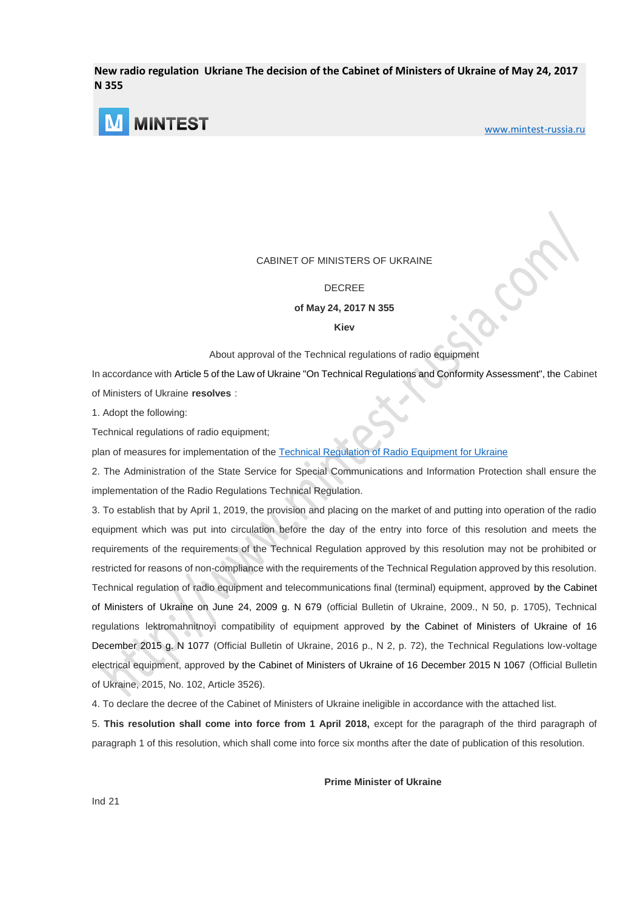**New radio regulation Ukriane The decision of the Cabinet of Ministers of Ukraine of May 24, 2017 N 355**



[www.mintest-russia.ru](http://mintest-russia.ru/)

## CABINET OF MINISTERS OF UKRAINE

## DECREE

**of May 24, 2017 N 355**

#### **Kiev**

#### About approval of the Technical regulations of radio equipment

In accordance with Article 5 of the Law of Ukraine "On Technical Regulations and Conformity Assessment", the Cabinet of Ministers of Ukraine **resolves** :

1. Adopt the following:

Technical regulations of radio equipment;

plan of measures for implementation of the [Technical Regulation of Radio Equipment](http://www.mintest-russia.com/) for Ukraine

2. The Administration of the State Service for Special Communications and Information Protection shall ensure the implementation of the Radio Regulations Technical Regulation.

3. To establish that by April 1, 2019, the provision and placing on the market of and putting into operation of the radio equipment which was put into circulation before the day of the entry into force of this resolution and meets the requirements of the requirements of the Technical Regulation approved by this resolution may not be prohibited or restricted for reasons of non-compliance with the requirements of the Technical Regulation approved by this resolution. Technical regulation of radio equipment and telecommunications final (terminal) equipment, approved by the Cabinet of Ministers of Ukraine on June 24, 2009 g. N 679 (official Bulletin of Ukraine, 2009., N 50, p. 1705), Technical regulations lektromahnitnoyi compatibility of equipment approved by the Cabinet of Ministers of Ukraine of 16 December 2015 g. N 1077 (Official Bulletin of Ukraine, 2016 p., N 2, p. 72), the Technical Regulations low-voltage electrical equipment, approved by the Cabinet of Ministers of Ukraine of 16 December 2015 N 1067 (Official Bulletin of Ukraine, 2015, No. 102, Article 3526).

4. To declare the decree of the Cabinet of Ministers of Ukraine ineligible in accordance with the attached list.

5. **This resolution shall come into force from 1 April 2018,** except for the paragraph of the third paragraph of paragraph 1 of this resolution, which shall come into force six months after the date of publication of this resolution.

**Prime Minister of Ukraine**

Ind 21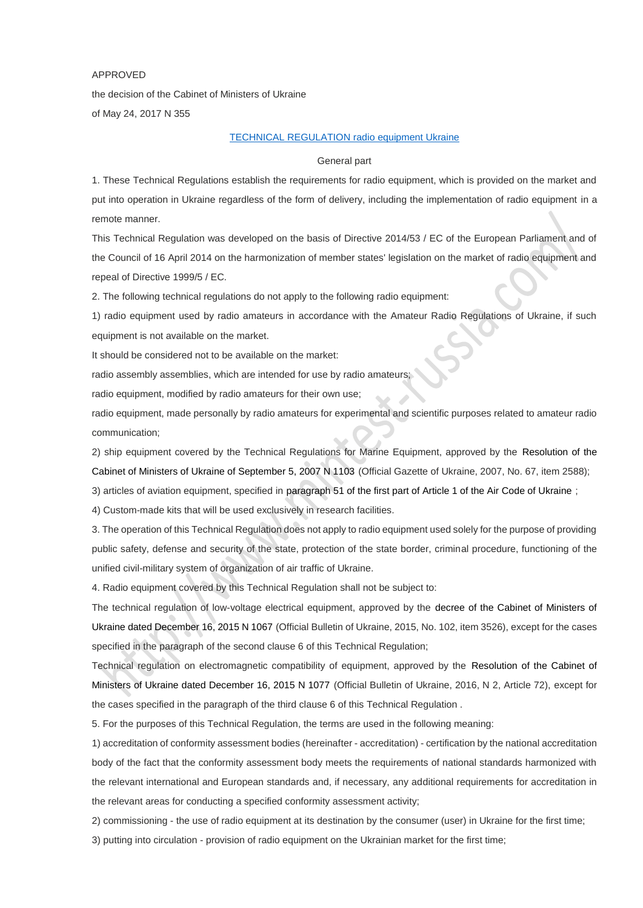#### APPROVED

the decision of the Cabinet of Ministers of Ukraine of May 24, 2017 N 355

## [TECHNICAL REGULATION](http://www.mintest-russia.com/sertifikatsiya-produktsii/ukrainian-certification/) radio equipment Ukraine

#### General part

1. These Technical Regulations establish the requirements for radio equipment, which is provided on the market and put into operation in Ukraine regardless of the form of delivery, including the implementation of radio equipment in a remote manner.

This Technical Regulation was developed on the basis of Directive 2014/53 / EC of the European Parliament and of the Council of 16 April 2014 on the harmonization of member states' legislation on the market of radio equipment and repeal of Directive 1999/5 / EC.

2. The following technical regulations do not apply to the following radio equipment:

1) radio equipment used by radio amateurs in accordance with the Amateur Radio Regulations of Ukraine, if such equipment is not available on the market.

It should be considered not to be available on the market:

radio assembly assemblies, which are intended for use by radio amateurs;

radio equipment, modified by radio amateurs for their own use;

radio equipment, made personally by radio amateurs for experimental and scientific purposes related to amateur radio communication;

2) ship equipment covered by the Technical Regulations for Marine Equipment, approved by the Resolution of the Cabinet of Ministers of Ukraine of September 5, 2007 N 1103 (Official Gazette of Ukraine, 2007, No. 67, item 2588);

3) articles of aviation equipment, specified in paragraph 51 of the first part of Article 1 of the Air Code of Ukraine ;

4) Custom-made kits that will be used exclusively in research facilities.

3. The operation of this Technical Regulation does not apply to radio equipment used solely for the purpose of providing public safety, defense and security of the state, protection of the state border, criminal procedure, functioning of the unified civil-military system of organization of air traffic of Ukraine.

4. Radio equipment covered by this Technical Regulation shall not be subject to:

The technical regulation of low-voltage electrical equipment, approved by the decree of the Cabinet of Ministers of Ukraine dated December 16, 2015 N 1067 (Official Bulletin of Ukraine, 2015, No. 102, item 3526), except for the cases specified in the paragraph of the second clause 6 of this Technical Regulation;

Technical regulation on electromagnetic compatibility of equipment, approved by the Resolution of the Cabinet of Ministers of Ukraine dated December 16, 2015 N 1077 (Official Bulletin of Ukraine, 2016, N 2, Article 72), except for the cases specified in the paragraph of the third clause 6 of this Technical Regulation .

5. For the purposes of this Technical Regulation, the terms are used in the following meaning:

1) accreditation of conformity assessment bodies (hereinafter - accreditation) - certification by the national accreditation body of the fact that the conformity assessment body meets the requirements of national standards harmonized with the relevant international and European standards and, if necessary, any additional requirements for accreditation in the relevant areas for conducting a specified conformity assessment activity;

2) commissioning - the use of radio equipment at its destination by the consumer (user) in Ukraine for the first time;

3) putting into circulation - provision of radio equipment on the Ukrainian market for the first time;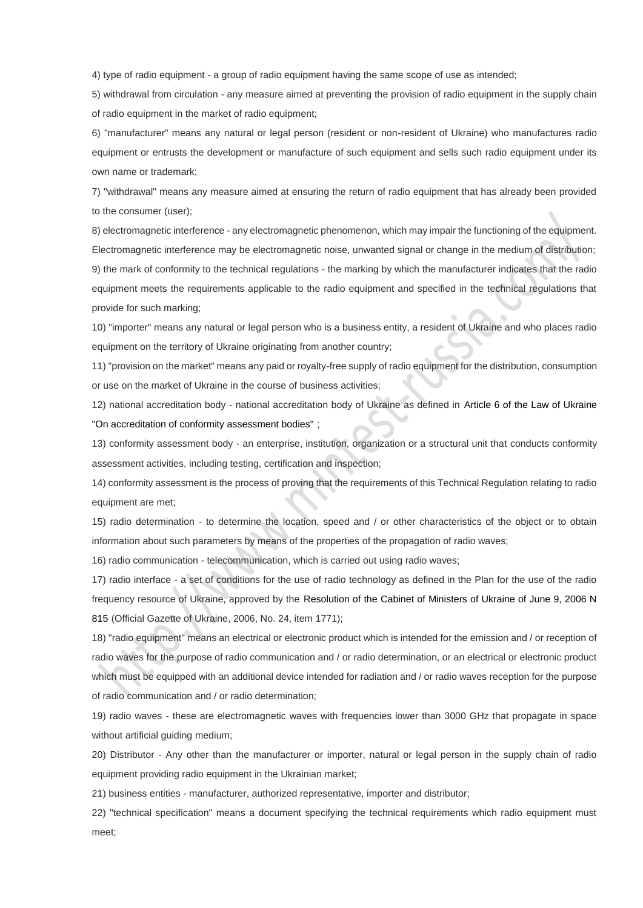4) type of radio equipment - a group of radio equipment having the same scope of use as intended;

5) withdrawal from circulation - any measure aimed at preventing the provision of radio equipment in the supply chain of radio equipment in the market of radio equipment;

6) "manufacturer" means any natural or legal person (resident or non-resident of Ukraine) who manufactures radio equipment or entrusts the development or manufacture of such equipment and sells such radio equipment under its own name or trademark;

7) "withdrawal" means any measure aimed at ensuring the return of radio equipment that has already been provided to the consumer (user);

8) electromagnetic interference - any electromagnetic phenomenon, which may impair the functioning of the equipment. Electromagnetic interference may be electromagnetic noise, unwanted signal or change in the medium of distribution; 9) the mark of conformity to the technical regulations - the marking by which the manufacturer indicates that the radio equipment meets the requirements applicable to the radio equipment and specified in the technical regulations that provide for such marking;

10) "importer" means any natural or legal person who is a business entity, a resident of Ukraine and who places radio equipment on the territory of Ukraine originating from another country;

11) "provision on the market" means any paid or royalty-free supply of radio equipment for the distribution, consumption or use on the market of Ukraine in the course of business activities;

12) national accreditation body - national accreditation body of Ukraine as defined in Article 6 of the Law of Ukraine "On accreditation of conformity assessment bodies" ;

13) conformity assessment body - an enterprise, institution, organization or a structural unit that conducts conformity assessment activities, including testing, certification and inspection;

14) conformity assessment is the process of proving that the requirements of this Technical Regulation relating to radio equipment are met;

15) radio determination - to determine the location, speed and / or other characteristics of the object or to obtain information about such parameters by means of the properties of the propagation of radio waves;

16) radio communication - telecommunication, which is carried out using radio waves;

17) radio interface - a set of conditions for the use of radio technology as defined in the Plan for the use of the radio frequency resource of Ukraine, approved by the Resolution of the Cabinet of Ministers of Ukraine of June 9, 2006 N 815 (Official Gazette of Ukraine, 2006, No. 24, item 1771);

18) "radio equipment" means an electrical or electronic product which is intended for the emission and / or reception of radio waves for the purpose of radio communication and / or radio determination, or an electrical or electronic product which must be equipped with an additional device intended for radiation and / or radio waves reception for the purpose of radio communication and / or radio determination;

19) radio waves - these are electromagnetic waves with frequencies lower than 3000 GHz that propagate in space without artificial guiding medium;

20) Distributor - Any other than the manufacturer or importer, natural or legal person in the supply chain of radio equipment providing radio equipment in the Ukrainian market:

21) business entities - manufacturer, authorized representative, importer and distributor;

22) "technical specification" means a document specifying the technical requirements which radio equipment must meet;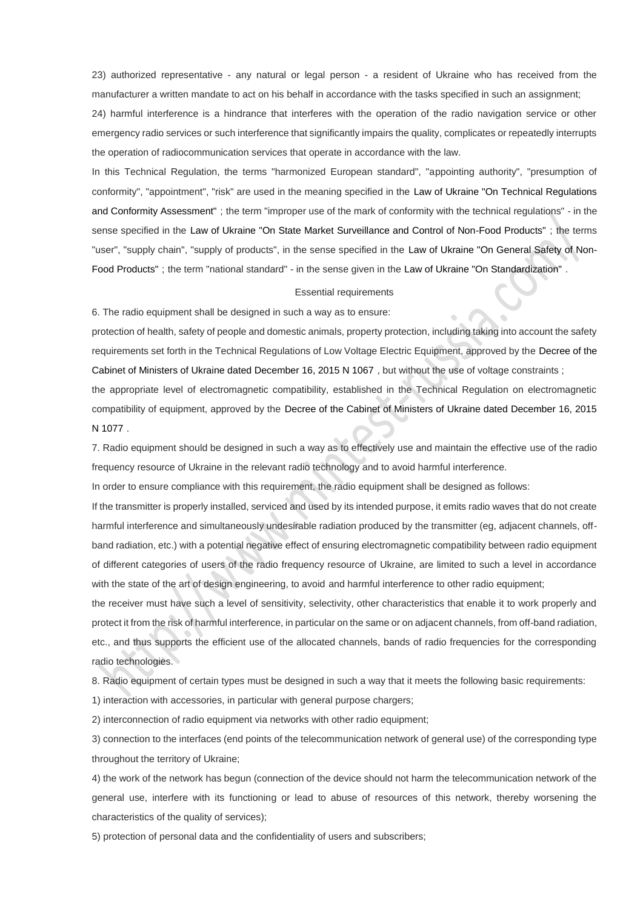23) authorized representative - any natural or legal person - a resident of Ukraine who has received from the manufacturer a written mandate to act on his behalf in accordance with the tasks specified in such an assignment;

24) harmful interference is a hindrance that interferes with the operation of the radio navigation service or other emergency radio services or such interference that significantly impairs the quality, complicates or repeatedly interrupts the operation of radiocommunication services that operate in accordance with the law.

In this Technical Regulation, the terms "harmonized European standard", "appointing authority", "presumption of conformity", "appointment", "risk" are used in the meaning specified in the Law of Ukraine "On Technical Regulations and Conformity Assessment" ; the term "improper use of the mark of conformity with the technical regulations" - in the sense specified in the Law of Ukraine "On State Market Surveillance and Control of Non-Food Products" ; the terms "user", "supply chain", "supply of products", in the sense specified in the Law of Ukraine "On General Safety of Non-Food Products" ; the term "national standard" - in the sense given in the Law of Ukraine "On Standardization" .

#### Essential requirements

6. The radio equipment shall be designed in such a way as to ensure:

protection of health, safety of people and domestic animals, property protection, including taking into account the safety requirements set forth in the Technical Regulations of Low Voltage Electric Equipment, approved by the Decree of the Cabinet of Ministers of Ukraine dated December 16, 2015 N 1067 , but without the use of voltage constraints ;

the appropriate level of electromagnetic compatibility, established in the Technical Regulation on electromagnetic compatibility of equipment, approved by the Decree of the Cabinet of Ministers of Ukraine dated December 16, 2015 N 1077 .

7. Radio equipment should be designed in such a way as to effectively use and maintain the effective use of the radio frequency resource of Ukraine in the relevant radio technology and to avoid harmful interference.

In order to ensure compliance with this requirement, the radio equipment shall be designed as follows:

If the transmitter is properly installed, serviced and used by its intended purpose, it emits radio waves that do not create harmful interference and simultaneously undesirable radiation produced by the transmitter (eg, adjacent channels, offband radiation, etc.) with a potential negative effect of ensuring electromagnetic compatibility between radio equipment of different categories of users of the radio frequency resource of Ukraine, are limited to such a level in accordance with the state of the art of design engineering, to avoid and harmful interference to other radio equipment;

the receiver must have such a level of sensitivity, selectivity, other characteristics that enable it to work properly and protect it from the risk of harmful interference, in particular on the same or on adjacent channels, from off-band radiation, etc., and thus supports the efficient use of the allocated channels, bands of radio frequencies for the corresponding radio technologies.

8. Radio equipment of certain types must be designed in such a way that it meets the following basic requirements:

1) interaction with accessories, in particular with general purpose chargers;

2) interconnection of radio equipment via networks with other radio equipment;

3) connection to the interfaces (end points of the telecommunication network of general use) of the corresponding type throughout the territory of Ukraine;

4) the work of the network has begun (connection of the device should not harm the telecommunication network of the general use, interfere with its functioning or lead to abuse of resources of this network, thereby worsening the characteristics of the quality of services);

5) protection of personal data and the confidentiality of users and subscribers;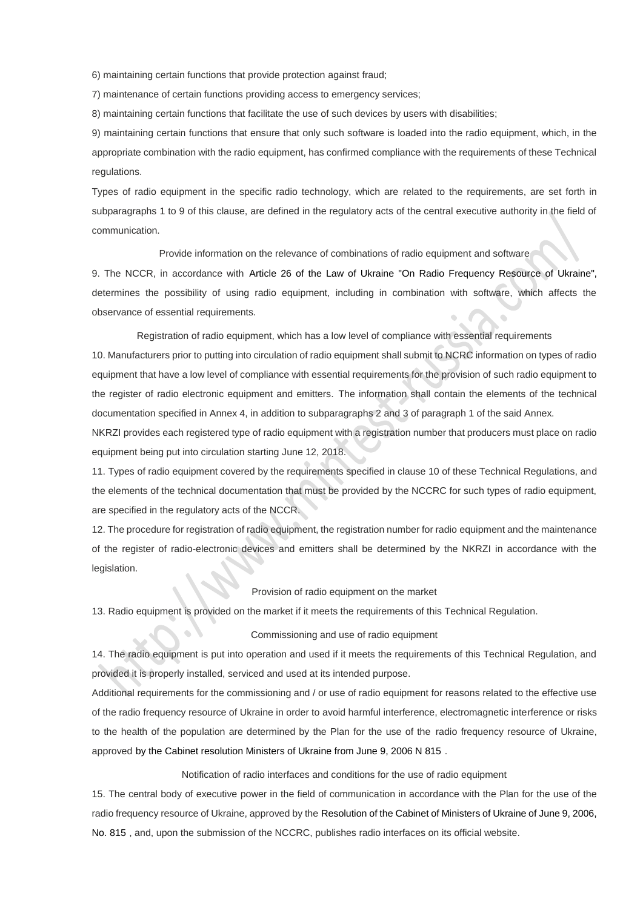6) maintaining certain functions that provide protection against fraud;

7) maintenance of certain functions providing access to emergency services;

8) maintaining certain functions that facilitate the use of such devices by users with disabilities;

9) maintaining certain functions that ensure that only such software is loaded into the radio equipment, which, in the appropriate combination with the radio equipment, has confirmed compliance with the requirements of these Technical regulations.

Types of radio equipment in the specific radio technology, which are related to the requirements, are set forth in subparagraphs 1 to 9 of this clause, are defined in the regulatory acts of the central executive authority in the field of communication.

Provide information on the relevance of combinations of radio equipment and software

9. The NCCR, in accordance with Article 26 of the Law of Ukraine "On Radio Frequency Resource of Ukraine", determines the possibility of using radio equipment, including in combination with software, which affects the observance of essential requirements.

Registration of radio equipment, which has a low level of compliance with essential requirements

10. Manufacturers prior to putting into circulation of radio equipment shall submit to NCRC information on types of radio equipment that have a low level of compliance with essential requirements for the provision of such radio equipment to the register of radio electronic equipment and emitters. The information shall contain the elements of the technical documentation specified in Annex 4, in addition to subparagraphs 2 and 3 of paragraph 1 of the said Annex.

NKRZI provides each registered type of radio equipment with a registration number that producers must place on radio equipment being put into circulation starting June 12, 2018.

11. Types of radio equipment covered by the requirements specified in clause 10 of these Technical Regulations, and the elements of the technical documentation that must be provided by the NCCRC for such types of radio equipment, are specified in the regulatory acts of the NCCR.

12. The procedure for registration of radio equipment, the registration number for radio equipment and the maintenance of the register of radio-electronic devices and emitters shall be determined by the NKRZI in accordance with the legislation.

## Provision of radio equipment on the market

13. Radio equipment is provided on the market if it meets the requirements of this Technical Regulation.

#### Commissioning and use of radio equipment

14. The radio equipment is put into operation and used if it meets the requirements of this Technical Regulation, and provided it is properly installed, serviced and used at its intended purpose.

Additional requirements for the commissioning and / or use of radio equipment for reasons related to the effective use of the radio frequency resource of Ukraine in order to avoid harmful interference, electromagnetic interference or risks to the health of the population are determined by the Plan for the use of the radio frequency resource of Ukraine, approved by the Cabinet resolution Ministers of Ukraine from June 9, 2006 N 815 .

Notification of radio interfaces and conditions for the use of radio equipment

15. The central body of executive power in the field of communication in accordance with the Plan for the use of the radio frequency resource of Ukraine, approved by the Resolution of the Cabinet of Ministers of Ukraine of June 9, 2006, No. 815 , and, upon the submission of the NCCRC, publishes radio interfaces on its official website.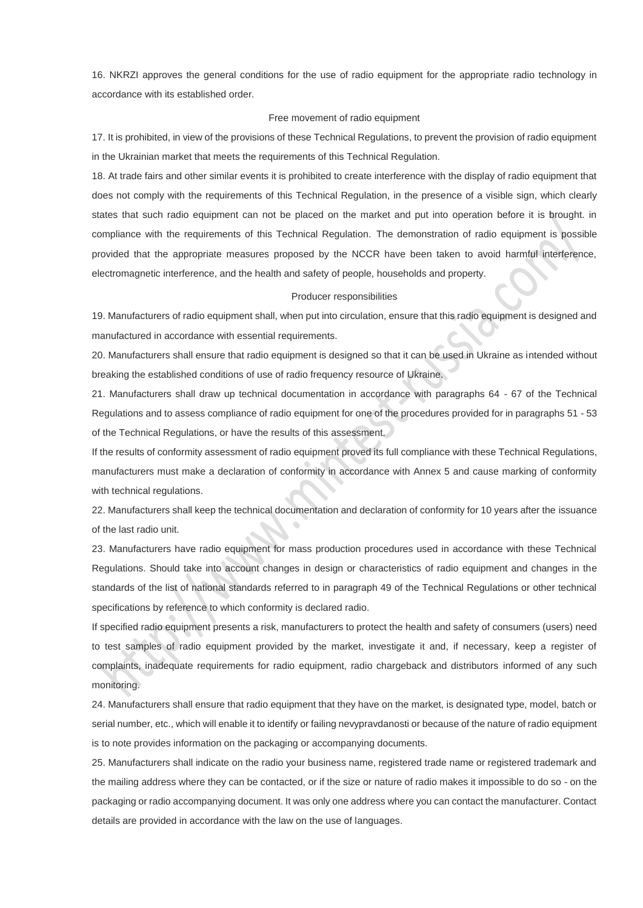16. NKRZI approves the general conditions for the use of radio equipment for the appropriate radio technology in accordance with its established order.

#### Free movement of radio equipment

17. It is prohibited, in view of the provisions of these Technical Regulations, to prevent the provision of radio equipment in the Ukrainian market that meets the requirements of this Technical Regulation.

18. At trade fairs and other similar events it is prohibited to create interference with the display of radio equipment that does not comply with the requirements of this Technical Regulation, in the presence of a visible sign, which clearly states that such radio equipment can not be placed on the market and put into operation before it is brought. in compliance with the requirements of this Technical Regulation. The demonstration of radio equipment is possible provided that the appropriate measures proposed by the NCCR have been taken to avoid harmful interference, electromagnetic interference, and the health and safety of people, households and property.

#### Producer responsibilities

19. Manufacturers of radio equipment shall, when put into circulation, ensure that this radio equipment is designed and manufactured in accordance with essential requirements.

20. Manufacturers shall ensure that radio equipment is designed so that it can be used in Ukraine as intended without breaking the established conditions of use of radio frequency resource of Ukraine.

21. Manufacturers shall draw up technical documentation in accordance with paragraphs 64 - 67 of the Technical Regulations and to assess compliance of radio equipment for one of the procedures provided for in paragraphs 51 - 53 of the Technical Regulations, or have the results of this assessment.

If the results of conformity assessment of radio equipment proved its full compliance with these Technical Regulations, manufacturers must make a declaration of conformity in accordance with Annex 5 and cause marking of conformity with technical regulations.

22. Manufacturers shall keep the technical documentation and declaration of conformity for 10 years after the issuance of the last radio unit.

23. Manufacturers have radio equipment for mass production procedures used in accordance with these Technical Regulations. Should take into account changes in design or characteristics of radio equipment and changes in the standards of the list of national standards referred to in paragraph 49 of the Technical Regulations or other technical specifications by reference to which conformity is declared radio.

If specified radio equipment presents a risk, manufacturers to protect the health and safety of consumers (users) need to test samples of radio equipment provided by the market, investigate it and, if necessary, keep a register of complaints, inadequate requirements for radio equipment, radio chargeback and distributors informed of any such monitoring.

24. Manufacturers shall ensure that radio equipment that they have on the market, is designated type, model, batch or serial number, etc., which will enable it to identify or failing nevypravdanosti or because of the nature of radio equipment is to note provides information on the packaging or accompanying documents.

25. Manufacturers shall indicate on the radio your business name, registered trade name or registered trademark and the mailing address where they can be contacted, or if the size or nature of radio makes it impossible to do so - on the packaging or radio accompanying document. It was only one address where you can contact the manufacturer. Contact details are provided in accordance with the law on the use of languages.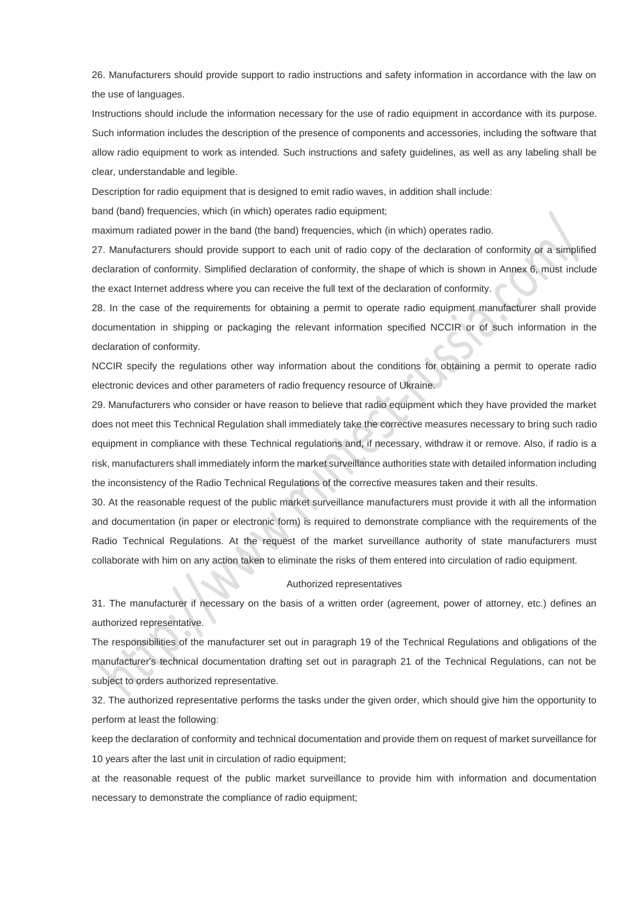26. Manufacturers should provide support to radio instructions and safety information in accordance with the law on the use of languages.

Instructions should include the information necessary for the use of radio equipment in accordance with its purpose. Such information includes the description of the presence of components and accessories, including the software that allow radio equipment to work as intended. Such instructions and safety guidelines, as well as any labeling shall be clear, understandable and legible.

Description for radio equipment that is designed to emit radio waves, in addition shall include:

band (band) frequencies, which (in which) operates radio equipment;

maximum radiated power in the band (the band) frequencies, which (in which) operates radio.

27. Manufacturers should provide support to each unit of radio copy of the declaration of conformity or a simplified declaration of conformity. Simplified declaration of conformity, the shape of which is shown in Annex 6, must include the exact Internet address where you can receive the full text of the declaration of conformity.

28. In the case of the requirements for obtaining a permit to operate radio equipment manufacturer shall provide documentation in shipping or packaging the relevant information specified NCCIR or of such information in the declaration of conformity.

NCCIR specify the regulations other way information about the conditions for obtaining a permit to operate radio electronic devices and other parameters of radio frequency resource of Ukraine.

29. Manufacturers who consider or have reason to believe that radio equipment which they have provided the market does not meet this Technical Regulation shall immediately take the corrective measures necessary to bring such radio equipment in compliance with these Technical regulations and, if necessary, withdraw it or remove. Also, if radio is a risk, manufacturers shall immediately inform the market surveillance authorities state with detailed information including the inconsistency of the Radio Technical Regulations of the corrective measures taken and their results.

30. At the reasonable request of the public market surveillance manufacturers must provide it with all the information and documentation (in paper or electronic form) is required to demonstrate compliance with the requirements of the Radio Technical Regulations. At the request of the market surveillance authority of state manufacturers must collaborate with him on any action taken to eliminate the risks of them entered into circulation of radio equipment.

#### Authorized representatives

31. The manufacturer if necessary on the basis of a written order (agreement, power of attorney, etc.) defines an authorized representative.

The responsibilities of the manufacturer set out in paragraph 19 of the Technical Regulations and obligations of the manufacturer's technical documentation drafting set out in paragraph 21 of the Technical Regulations, can not be subject to orders authorized representative.

32. The authorized representative performs the tasks under the given order, which should give him the opportunity to perform at least the following:

keep the declaration of conformity and technical documentation and provide them on request of market surveillance for 10 years after the last unit in circulation of radio equipment;

at the reasonable request of the public market surveillance to provide him with information and documentation necessary to demonstrate the compliance of radio equipment;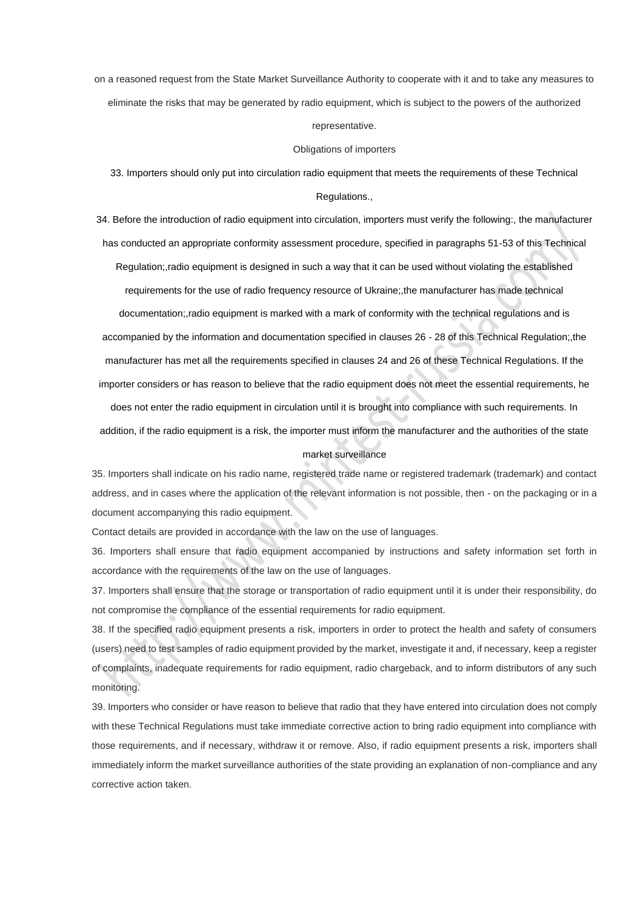on a reasoned request from the State Market Surveillance Authority to cooperate with it and to take any measures to eliminate the risks that may be generated by radio equipment, which is subject to the powers of the authorized

representative.

#### Obligations of importers

33. Importers should only put into circulation radio equipment that meets the requirements of these Technical Regulations.,

34. Before the introduction of radio equipment into circulation, importers must verify the following:, the manufacturer has conducted an appropriate conformity assessment procedure, specified in paragraphs 51-53 of this Technical Regulation;,radio equipment is designed in such a way that it can be used without violating the established requirements for the use of radio frequency resource of Ukraine;,the manufacturer has made technical

documentation;,radio equipment is marked with a mark of conformity with the technical regulations and is accompanied by the information and documentation specified in clauses 26 - 28 of this Technical Regulation;,the manufacturer has met all the requirements specified in clauses 24 and 26 of these Technical Regulations. If the importer considers or has reason to believe that the radio equipment does not meet the essential requirements, he

does not enter the radio equipment in circulation until it is brought into compliance with such requirements. In addition, if the radio equipment is a risk, the importer must inform the manufacturer and the authorities of the state

#### market surveillance

35. Importers shall indicate on his radio name, registered trade name or registered trademark (trademark) and contact address, and in cases where the application of the relevant information is not possible, then - on the packaging or in a document accompanying this radio equipment.

Contact details are provided in accordance with the law on the use of languages.

36. Importers shall ensure that radio equipment accompanied by instructions and safety information set forth in accordance with the requirements of the law on the use of languages.

37. Importers shall ensure that the storage or transportation of radio equipment until it is under their responsibility, do not compromise the compliance of the essential requirements for radio equipment.

38. If the specified radio equipment presents a risk, importers in order to protect the health and safety of consumers (users) need to test samples of radio equipment provided by the market, investigate it and, if necessary, keep a register of complaints, inadequate requirements for radio equipment, radio chargeback, and to inform distributors of any such monitoring.

39. Importers who consider or have reason to believe that radio that they have entered into circulation does not comply with these Technical Regulations must take immediate corrective action to bring radio equipment into compliance with those requirements, and if necessary, withdraw it or remove. Also, if radio equipment presents a risk, importers shall immediately inform the market surveillance authorities of the state providing an explanation of non-compliance and any corrective action taken.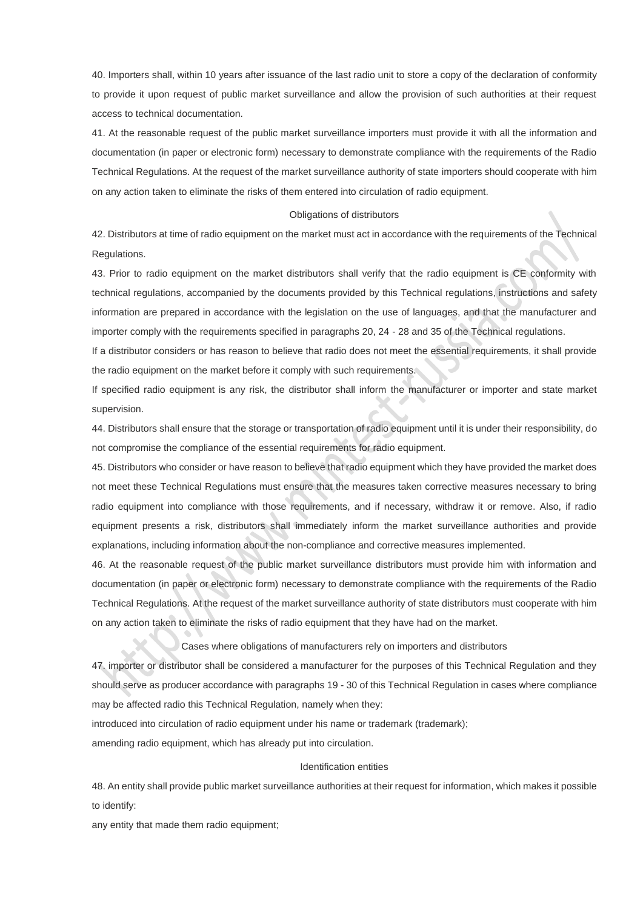40. Importers shall, within 10 years after issuance of the last radio unit to store a copy of the declaration of conformity to provide it upon request of public market surveillance and allow the provision of such authorities at their request access to technical documentation.

41. At the reasonable request of the public market surveillance importers must provide it with all the information and documentation (in paper or electronic form) necessary to demonstrate compliance with the requirements of the Radio Technical Regulations. At the request of the market surveillance authority of state importers should cooperate with him on any action taken to eliminate the risks of them entered into circulation of radio equipment.

### Obligations of distributors

42. Distributors at time of radio equipment on the market must act in accordance with the requirements of the Technical Regulations.

43. Prior to radio equipment on the market distributors shall verify that the radio equipment is CE conformity with technical regulations, accompanied by the documents provided by this Technical regulations, instructions and safety information are prepared in accordance with the legislation on the use of languages, and that the manufacturer and importer comply with the requirements specified in paragraphs 20, 24 - 28 and 35 of the Technical regulations.

If a distributor considers or has reason to believe that radio does not meet the essential requirements, it shall provide the radio equipment on the market before it comply with such requirements.

If specified radio equipment is any risk, the distributor shall inform the manufacturer or importer and state market supervision.

44. Distributors shall ensure that the storage or transportation of radio equipment until it is under their responsibility, do not compromise the compliance of the essential requirements for radio equipment.

45. Distributors who consider or have reason to believe that radio equipment which they have provided the market does not meet these Technical Regulations must ensure that the measures taken corrective measures necessary to bring radio equipment into compliance with those requirements, and if necessary, withdraw it or remove. Also, if radio equipment presents a risk, distributors shall immediately inform the market surveillance authorities and provide explanations, including information about the non-compliance and corrective measures implemented.

46. At the reasonable request of the public market surveillance distributors must provide him with information and documentation (in paper or electronic form) necessary to demonstrate compliance with the requirements of the Radio Technical Regulations. At the request of the market surveillance authority of state distributors must cooperate with him on any action taken to eliminate the risks of radio equipment that they have had on the market.

Cases where obligations of manufacturers rely on importers and distributors

47. importer or distributor shall be considered a manufacturer for the purposes of this Technical Regulation and they should serve as producer accordance with paragraphs 19 - 30 of this Technical Regulation in cases where compliance may be affected radio this Technical Regulation, namely when they:

introduced into circulation of radio equipment under his name or trademark (trademark);

amending radio equipment, which has already put into circulation.

#### Identification entities

48. An entity shall provide public market surveillance authorities at their request for information, which makes it possible to identify:

any entity that made them radio equipment;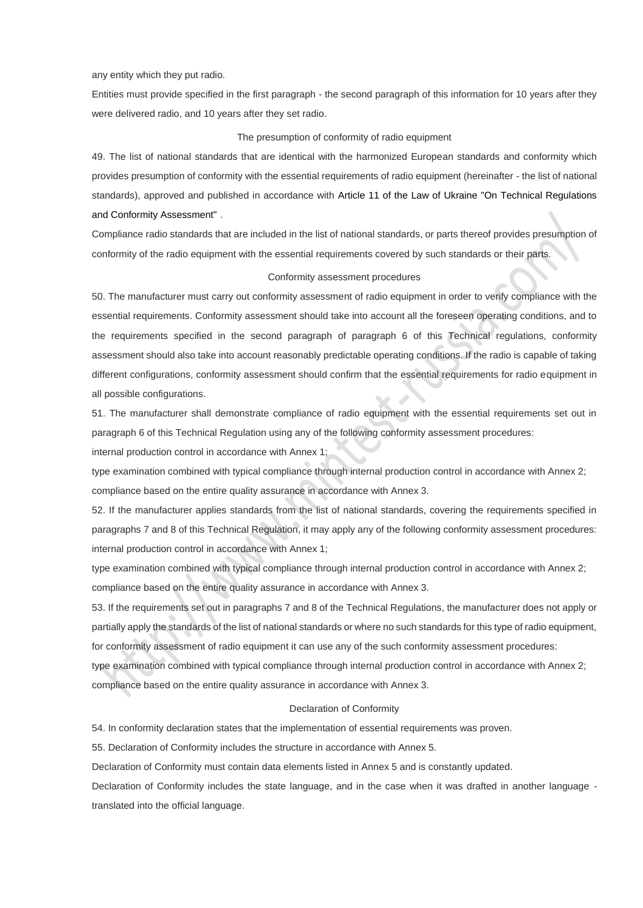#### any entity which they put radio.

Entities must provide specified in the first paragraph - the second paragraph of this information for 10 years after they were delivered radio, and 10 years after they set radio.

### The presumption of conformity of radio equipment

49. The list of national standards that are identical with the harmonized European standards and conformity which provides presumption of conformity with the essential requirements of radio equipment (hereinafter - the list of national standards), approved and published in accordance with Article 11 of the Law of Ukraine "On Technical Regulations and Conformity Assessment" .

Compliance radio standards that are included in the list of national standards, or parts thereof provides presumption of conformity of the radio equipment with the essential requirements covered by such standards or their parts.

## Conformity assessment procedures

50. The manufacturer must carry out conformity assessment of radio equipment in order to verify compliance with the essential requirements. Conformity assessment should take into account all the foreseen operating conditions, and to the requirements specified in the second paragraph of paragraph 6 of this Technical regulations, conformity assessment should also take into account reasonably predictable operating conditions. If the radio is capable of taking different configurations, conformity assessment should confirm that the essential requirements for radio equipment in all possible configurations.

51. The manufacturer shall demonstrate compliance of radio equipment with the essential requirements set out in paragraph 6 of this Technical Regulation using any of the following conformity assessment procedures:

internal production control in accordance with Annex 1;

type examination combined with typical compliance through internal production control in accordance with Annex 2; compliance based on the entire quality assurance in accordance with Annex 3.

52. If the manufacturer applies standards from the list of national standards, covering the requirements specified in paragraphs 7 and 8 of this Technical Regulation, it may apply any of the following conformity assessment procedures: internal production control in accordance with Annex 1;

type examination combined with typical compliance through internal production control in accordance with Annex 2; compliance based on the entire quality assurance in accordance with Annex 3.

53. If the requirements set out in paragraphs 7 and 8 of the Technical Regulations, the manufacturer does not apply or partially apply the standards of the list of national standards or where no such standards for this type of radio equipment, for conformity assessment of radio equipment it can use any of the such conformity assessment procedures:

type examination combined with typical compliance through internal production control in accordance with Annex 2; compliance based on the entire quality assurance in accordance with Annex 3.

#### Declaration of Conformity

54. In conformity declaration states that the implementation of essential requirements was proven.

55. Declaration of Conformity includes the structure in accordance with Annex 5.

Declaration of Conformity must contain data elements listed in Annex 5 and is constantly updated.

Declaration of Conformity includes the state language, and in the case when it was drafted in another language translated into the official language.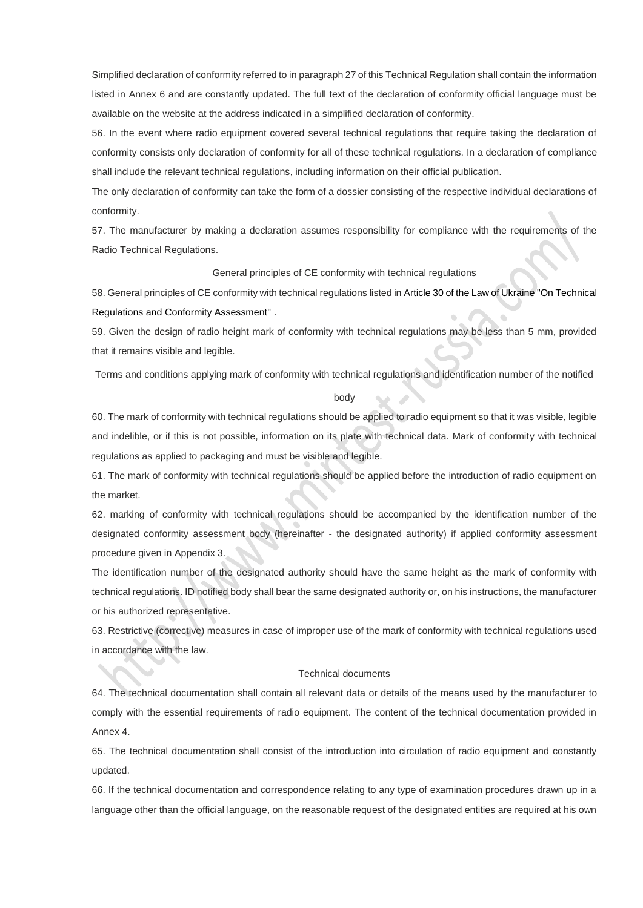Simplified declaration of conformity referred to in paragraph 27 of this Technical Regulation shall contain the information listed in Annex 6 and are constantly updated. The full text of the declaration of conformity official language must be available on the website at the address indicated in a simplified declaration of conformity.

56. In the event where radio equipment covered several technical regulations that require taking the declaration of conformity consists only declaration of conformity for all of these technical regulations. In a declaration of compliance shall include the relevant technical regulations, including information on their official publication.

The only declaration of conformity can take the form of a dossier consisting of the respective individual declarations of conformity.

57. The manufacturer by making a declaration assumes responsibility for compliance with the requirements of the Radio Technical Regulations.

## General principles of CE conformity with technical regulations

58. General principles of CE conformity with technical regulations listed in Article 30 of the Law of Ukraine "On Technical Regulations and Conformity Assessment" .

59. Given the design of radio height mark of conformity with technical regulations may be less than 5 mm, provided that it remains visible and legible.

Terms and conditions applying mark of conformity with technical regulations and identification number of the notified

#### body

60. The mark of conformity with technical regulations should be applied to radio equipment so that it was visible, legible and indelible, or if this is not possible, information on its plate with technical data. Mark of conformity with technical regulations as applied to packaging and must be visible and legible.

61. The mark of conformity with technical regulations should be applied before the introduction of radio equipment on the market.

62. marking of conformity with technical regulations should be accompanied by the identification number of the designated conformity assessment body (hereinafter - the designated authority) if applied conformity assessment procedure given in Appendix 3.

The identification number of the designated authority should have the same height as the mark of conformity with technical regulations. ID notified body shall bear the same designated authority or, on his instructions, the manufacturer or his authorized representative.

63. Restrictive (corrective) measures in case of improper use of the mark of conformity with technical regulations used in accordance with the law.

### Technical documents

64. The technical documentation shall contain all relevant data or details of the means used by the manufacturer to comply with the essential requirements of radio equipment. The content of the technical documentation provided in Annex 4.

65. The technical documentation shall consist of the introduction into circulation of radio equipment and constantly updated.

66. If the technical documentation and correspondence relating to any type of examination procedures drawn up in a language other than the official language, on the reasonable request of the designated entities are required at his own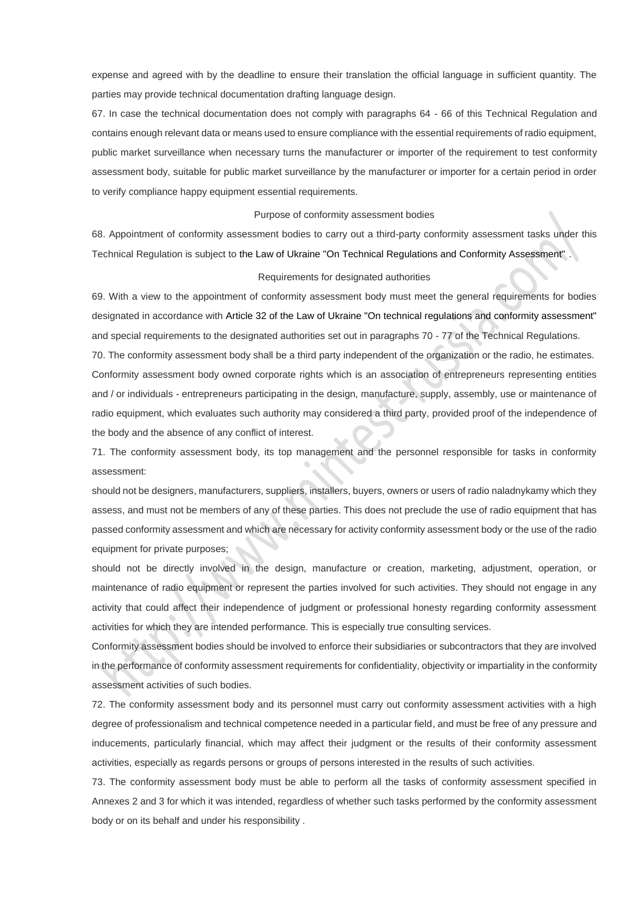expense and agreed with by the deadline to ensure their translation the official language in sufficient quantity. The parties may provide technical documentation drafting language design.

67. In case the technical documentation does not comply with paragraphs 64 - 66 of this Technical Regulation and contains enough relevant data or means used to ensure compliance with the essential requirements of radio equipment, public market surveillance when necessary turns the manufacturer or importer of the requirement to test conformity assessment body, suitable for public market surveillance by the manufacturer or importer for a certain period in order to verify compliance happy equipment essential requirements.

#### Purpose of conformity assessment bodies

68. Appointment of conformity assessment bodies to carry out a third-party conformity assessment tasks under this Technical Regulation is subject to the Law of Ukraine "On Technical Regulations and Conformity Assessment" .

#### Requirements for designated authorities

69. With a view to the appointment of conformity assessment body must meet the general requirements for bodies designated in accordance with Article 32 of the Law of Ukraine "On technical regulations and conformity assessment" and special requirements to the designated authorities set out in paragraphs 70 - 77 of the Technical Regulations.

70. The conformity assessment body shall be a third party independent of the organization or the radio, he estimates. Conformity assessment body owned corporate rights which is an association of entrepreneurs representing entities and / or individuals - entrepreneurs participating in the design, manufacture, supply, assembly, use or maintenance of radio equipment, which evaluates such authority may considered a third party, provided proof of the independence of the body and the absence of any conflict of interest.

71. The conformity assessment body, its top management and the personnel responsible for tasks in conformity assessment:

should not be designers, manufacturers, suppliers, installers, buyers, owners or users of radio naladnykamy which they assess, and must not be members of any of these parties. This does not preclude the use of radio equipment that has passed conformity assessment and which are necessary for activity conformity assessment body or the use of the radio equipment for private purposes;

should not be directly involved in the design, manufacture or creation, marketing, adjustment, operation, or maintenance of radio equipment or represent the parties involved for such activities. They should not engage in any activity that could affect their independence of judgment or professional honesty regarding conformity assessment activities for which they are intended performance. This is especially true consulting services.

Conformity assessment bodies should be involved to enforce their subsidiaries or subcontractors that they are involved in the performance of conformity assessment requirements for confidentiality, objectivity or impartiality in the conformity assessment activities of such bodies.

72. The conformity assessment body and its personnel must carry out conformity assessment activities with a high degree of professionalism and technical competence needed in a particular field, and must be free of any pressure and inducements, particularly financial, which may affect their judgment or the results of their conformity assessment activities, especially as regards persons or groups of persons interested in the results of such activities.

73. The conformity assessment body must be able to perform all the tasks of conformity assessment specified in Annexes 2 and 3 for which it was intended, regardless of whether such tasks performed by the conformity assessment body or on its behalf and under his responsibility .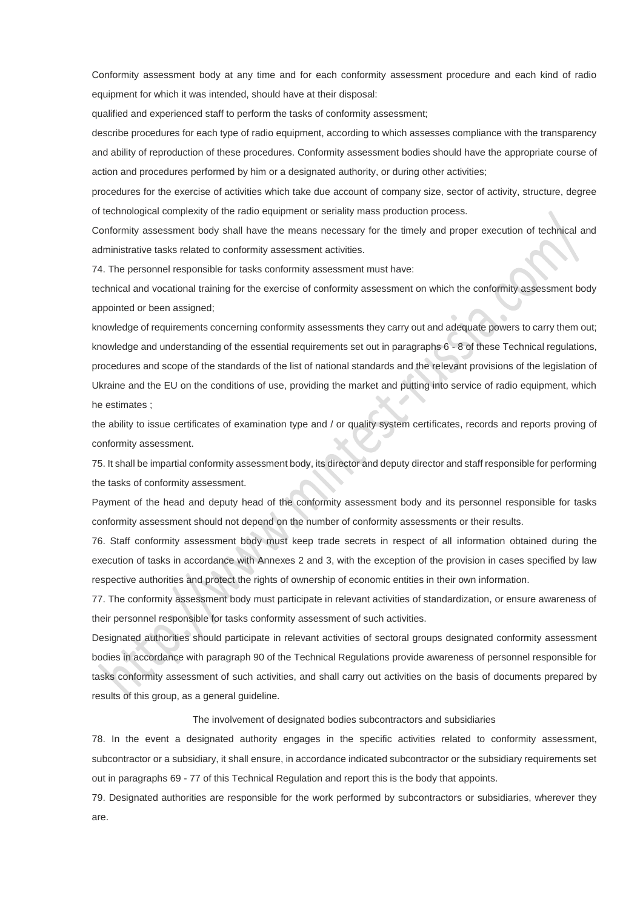Conformity assessment body at any time and for each conformity assessment procedure and each kind of radio equipment for which it was intended, should have at their disposal:

qualified and experienced staff to perform the tasks of conformity assessment;

describe procedures for each type of radio equipment, according to which assesses compliance with the transparency and ability of reproduction of these procedures. Conformity assessment bodies should have the appropriate course of action and procedures performed by him or a designated authority, or during other activities;

procedures for the exercise of activities which take due account of company size, sector of activity, structure, degree of technological complexity of the radio equipment or seriality mass production process.

Conformity assessment body shall have the means necessary for the timely and proper execution of technical and administrative tasks related to conformity assessment activities.

74. The personnel responsible for tasks conformity assessment must have:

technical and vocational training for the exercise of conformity assessment on which the conformity assessment body appointed or been assigned;

knowledge of requirements concerning conformity assessments they carry out and adequate powers to carry them out; knowledge and understanding of the essential requirements set out in paragraphs 6 - 8 of these Technical regulations, procedures and scope of the standards of the list of national standards and the relevant provisions of the legislation of Ukraine and the EU on the conditions of use, providing the market and putting into service of radio equipment, which he estimates ;

the ability to issue certificates of examination type and / or quality system certificates, records and reports proving of conformity assessment.

75. It shall be impartial conformity assessment body, its director and deputy director and staff responsible for performing the tasks of conformity assessment.

Payment of the head and deputy head of the conformity assessment body and its personnel responsible for tasks conformity assessment should not depend on the number of conformity assessments or their results.

76. Staff conformity assessment body must keep trade secrets in respect of all information obtained during the execution of tasks in accordance with Annexes 2 and 3, with the exception of the provision in cases specified by law respective authorities and protect the rights of ownership of economic entities in their own information.

77. The conformity assessment body must participate in relevant activities of standardization, or ensure awareness of their personnel responsible for tasks conformity assessment of such activities.

Designated authorities should participate in relevant activities of sectoral groups designated conformity assessment bodies in accordance with paragraph 90 of the Technical Regulations provide awareness of personnel responsible for tasks conformity assessment of such activities, and shall carry out activities on the basis of documents prepared by results of this group, as a general guideline.

#### The involvement of designated bodies subcontractors and subsidiaries

78. In the event a designated authority engages in the specific activities related to conformity assessment, subcontractor or a subsidiary, it shall ensure, in accordance indicated subcontractor or the subsidiary requirements set out in paragraphs 69 - 77 of this Technical Regulation and report this is the body that appoints.

79. Designated authorities are responsible for the work performed by subcontractors or subsidiaries, wherever they are.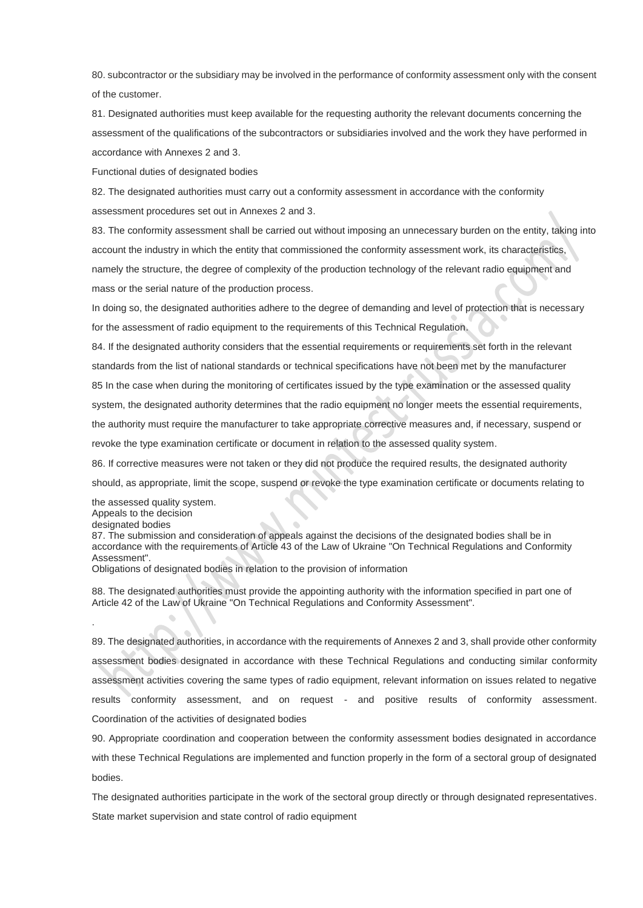80. subcontractor or the subsidiary may be involved in the performance of conformity assessment only with the consent of the customer.

81. Designated authorities must keep available for the requesting authority the relevant documents concerning the assessment of the qualifications of the subcontractors or subsidiaries involved and the work they have performed in accordance with Annexes 2 and 3.

Functional duties of designated bodies

82. The designated authorities must carry out a conformity assessment in accordance with the conformity assessment procedures set out in Annexes 2 and 3.

83. The conformity assessment shall be carried out without imposing an unnecessary burden on the entity, taking into account the industry in which the entity that commissioned the conformity assessment work, its characteristics, namely the structure, the degree of complexity of the production technology of the relevant radio equipment and mass or the serial nature of the production process.

In doing so, the designated authorities adhere to the degree of demanding and level of protection that is necessary for the assessment of radio equipment to the requirements of this Technical Regulation.

84. If the designated authority considers that the essential requirements or requirements set forth in the relevant standards from the list of national standards or technical specifications have not been met by the manufacturer 85 In the case when during the monitoring of certificates issued by the type examination or the assessed quality system, the designated authority determines that the radio equipment no longer meets the essential requirements, the authority must require the manufacturer to take appropriate corrective measures and, if necessary, suspend or revoke the type examination certificate or document in relation to the assessed quality system.

86. If corrective measures were not taken or they did not produce the required results, the designated authority should, as appropriate, limit the scope, suspend or revoke the type examination certificate or documents relating to

the assessed quality system. Appeals to the decision designated bodies

.

87. The submission and consideration of appeals against the decisions of the designated bodies shall be in accordance with the requirements of Article 43 of the Law of Ukraine "On Technical Regulations and Conformity Assessment".

Obligations of designated bodies in relation to the provision of information

88. The designated authorities must provide the appointing authority with the information specified in part one of Article 42 of the Law of Ukraine "On Technical Regulations and Conformity Assessment".

89. The designated authorities, in accordance with the requirements of Annexes 2 and 3, shall provide other conformity assessment bodies designated in accordance with these Technical Regulations and conducting similar conformity assessment activities covering the same types of radio equipment, relevant information on issues related to negative results conformity assessment, and on request - and positive results of conformity assessment. Coordination of the activities of designated bodies

90. Appropriate coordination and cooperation between the conformity assessment bodies designated in accordance with these Technical Regulations are implemented and function properly in the form of a sectoral group of designated bodies.

The designated authorities participate in the work of the sectoral group directly or through designated representatives. State market supervision and state control of radio equipment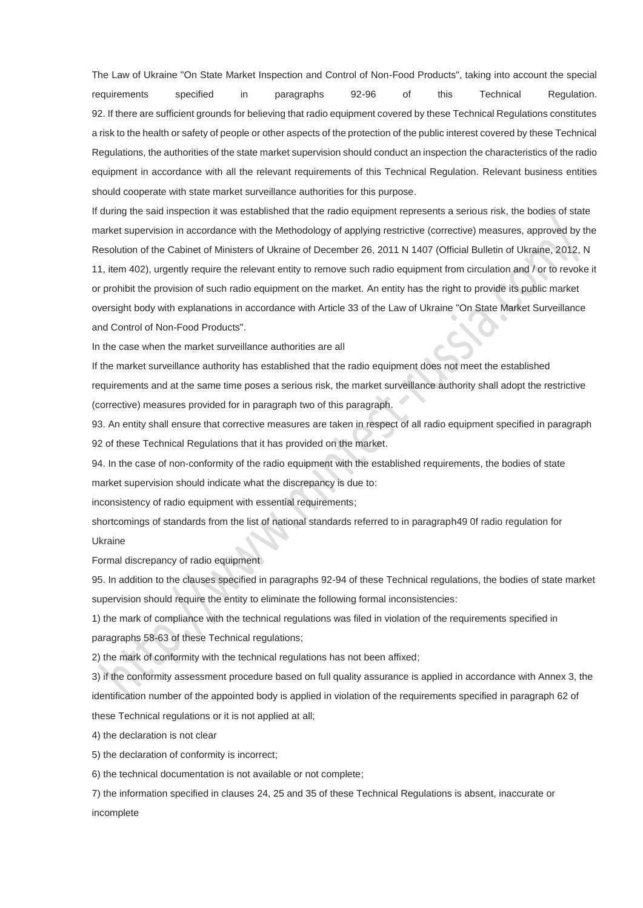The Law of Ukraine "On State Market Inspection and Control of Non-Food Products", taking into account the special requirements specified in paragraphs 92-96 of this Technical Regulation. 92. If there are sufficient grounds for believing that radio equipment covered by these Technical Regulations constitutes a risk to the health or safety of people or other aspects of the protection of the public interest covered by these Technical Regulations, the authorities of the state market supervision should conduct an inspection the characteristics of the radio equipment in accordance with all the relevant requirements of this Technical Regulation. Relevant business entities should cooperate with state market surveillance authorities for this purpose.

If during the said inspection it was established that the radio equipment represents a serious risk, the bodies of state market supervision in accordance with the Methodology of applying restrictive (corrective) measures, approved by the Resolution of the Cabinet of Ministers of Ukraine of December 26, 2011 N 1407 (Official Bulletin of Ukraine, 2012, N 11, item 402), urgently require the relevant entity to remove such radio equipment from circulation and / or to revoke it or prohibit the provision of such radio equipment on the market. An entity has the right to provide its public market oversight body with explanations in accordance with Article 33 of the Law of Ukraine "On State Market Surveillance and Control of Non-Food Products".

In the case when the market surveillance authorities are all

If the market surveillance authority has established that the radio equipment does not meet the established requirements and at the same time poses a serious risk, the market surveillance authority shall adopt the restrictive (corrective) measures provided for in paragraph two of this paragraph.

93. An entity shall ensure that corrective measures are taken in respect of all radio equipment specified in paragraph 92 of these Technical Regulations that it has provided on the market.

94. In the case of non-conformity of the radio equipment with the established requirements, the bodies of state market supervision should indicate what the discrepancy is due to:

inconsistency of radio equipment with essential requirements;

shortcomings of standards from the list of national standards referred to in paragraph49 0f radio regulation for Ukraine

Formal discrepancy of radio equipment

95. In addition to the clauses specified in paragraphs 92-94 of these Technical regulations, the bodies of state market supervision should require the entity to eliminate the following formal inconsistencies:

1) the mark of compliance with the technical regulations was filed in violation of the requirements specified in paragraphs 58-63 of these Technical regulations;

2) the mark of conformity with the technical regulations has not been affixed;

3) if the conformity assessment procedure based on full quality assurance is applied in accordance with Annex 3, the identification number of the appointed body is applied in violation of the requirements specified in paragraph 62 of these Technical regulations or it is not applied at all;

4) the declaration is not clear

5) the declaration of conformity is incorrect;

6) the technical documentation is not available or not complete;

7) the information specified in clauses 24, 25 and 35 of these Technical Regulations is absent, inaccurate or incomplete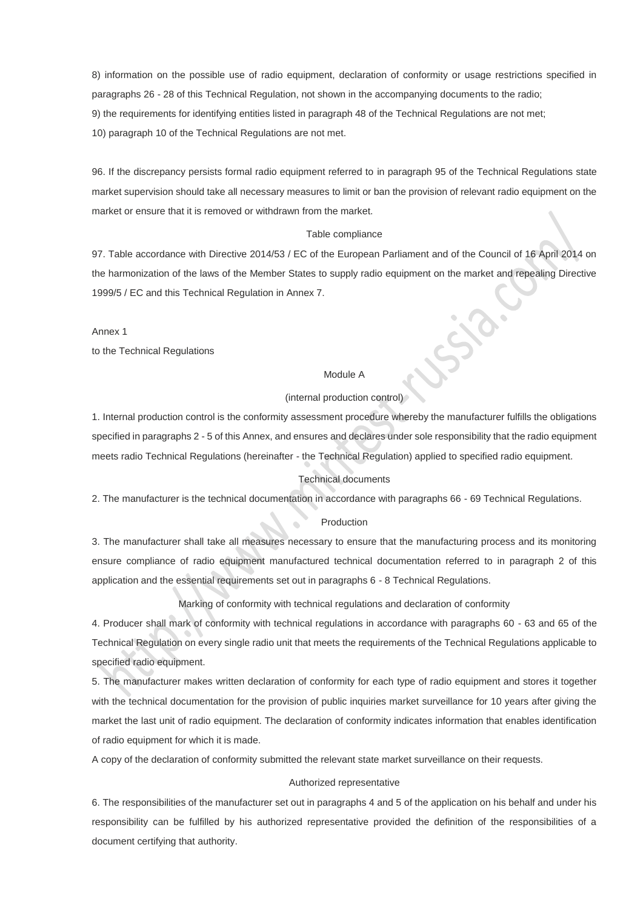8) information on the possible use of radio equipment, declaration of conformity or usage restrictions specified in paragraphs 26 - 28 of this Technical Regulation, not shown in the accompanying documents to the radio; 9) the requirements for identifying entities listed in paragraph 48 of the Technical Regulations are not met; 10) paragraph 10 of the Technical Regulations are not met.

96. If the discrepancy persists formal radio equipment referred to in paragraph 95 of the Technical Regulations state market supervision should take all necessary measures to limit or ban the provision of relevant radio equipment on the market or ensure that it is removed or withdrawn from the market.

### Table compliance

97. Table accordance with Directive 2014/53 / EC of the European Parliament and of the Council of 16 April 2014 on the harmonization of the laws of the Member States to supply radio equipment on the market and repealing Directive 1999/5 / EC and this Technical Regulation in Annex 7.

Annex 1

to the Technical Regulations

### Module A

## (internal production control)

1. Internal production control is the conformity assessment procedure whereby the manufacturer fulfills the obligations specified in paragraphs 2 - 5 of this Annex, and ensures and declares under sole responsibility that the radio equipment meets radio Technical Regulations (hereinafter - the Technical Regulation) applied to specified radio equipment.

## Technical documents

2. The manufacturer is the technical documentation in accordance with paragraphs 66 - 69 Technical Regulations.

#### Production

3. The manufacturer shall take all measures necessary to ensure that the manufacturing process and its monitoring ensure compliance of radio equipment manufactured technical documentation referred to in paragraph 2 of this application and the essential requirements set out in paragraphs 6 - 8 Technical Regulations.

Marking of conformity with technical regulations and declaration of conformity

4. Producer shall mark of conformity with technical regulations in accordance with paragraphs 60 - 63 and 65 of the Technical Regulation on every single radio unit that meets the requirements of the Technical Regulations applicable to specified radio equipment.

5. The manufacturer makes written declaration of conformity for each type of radio equipment and stores it together with the technical documentation for the provision of public inquiries market surveillance for 10 years after giving the market the last unit of radio equipment. The declaration of conformity indicates information that enables identification of radio equipment for which it is made.

A copy of the declaration of conformity submitted the relevant state market surveillance on their requests.

### Authorized representative

6. The responsibilities of the manufacturer set out in paragraphs 4 and 5 of the application on his behalf and under his responsibility can be fulfilled by his authorized representative provided the definition of the responsibilities of a document certifying that authority.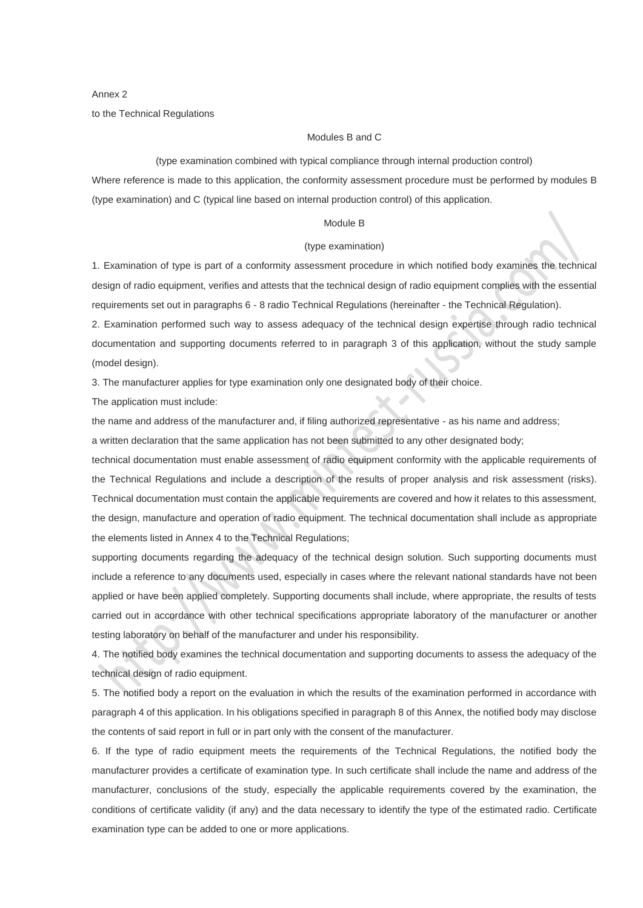Annex 2 to the Technical Regulations

## Modules B and C

(type examination combined with typical compliance through internal production control)

Where reference is made to this application, the conformity assessment procedure must be performed by modules B (type examination) and C (typical line based on internal production control) of this application.

#### Module B

#### (type examination)

1. Examination of type is part of a conformity assessment procedure in which notified body examines the technical design of radio equipment, verifies and attests that the technical design of radio equipment complies with the essential requirements set out in paragraphs 6 - 8 radio Technical Regulations (hereinafter - the Technical Regulation).

2. Examination performed such way to assess adequacy of the technical design expertise through radio technical documentation and supporting documents referred to in paragraph 3 of this application, without the study sample (model design).

3. The manufacturer applies for type examination only one designated body of their choice.

The application must include:

the name and address of the manufacturer and, if filing authorized representative - as his name and address;

a written declaration that the same application has not been submitted to any other designated body;

technical documentation must enable assessment of radio equipment conformity with the applicable requirements of the Technical Regulations and include a description of the results of proper analysis and risk assessment (risks). Technical documentation must contain the applicable requirements are covered and how it relates to this assessment, the design, manufacture and operation of radio equipment. The technical documentation shall include as appropriate the elements listed in Annex 4 to the Technical Regulations;

supporting documents regarding the adequacy of the technical design solution. Such supporting documents must include a reference to any documents used, especially in cases where the relevant national standards have not been applied or have been applied completely. Supporting documents shall include, where appropriate, the results of tests carried out in accordance with other technical specifications appropriate laboratory of the manufacturer or another testing laboratory on behalf of the manufacturer and under his responsibility.

4. The notified body examines the technical documentation and supporting documents to assess the adequacy of the technical design of radio equipment.

5. The notified body a report on the evaluation in which the results of the examination performed in accordance with paragraph 4 of this application. In his obligations specified in paragraph 8 of this Annex, the notified body may disclose the contents of said report in full or in part only with the consent of the manufacturer.

6. If the type of radio equipment meets the requirements of the Technical Regulations, the notified body the manufacturer provides a certificate of examination type. In such certificate shall include the name and address of the manufacturer, conclusions of the study, especially the applicable requirements covered by the examination, the conditions of certificate validity (if any) and the data necessary to identify the type of the estimated radio. Certificate examination type can be added to one or more applications.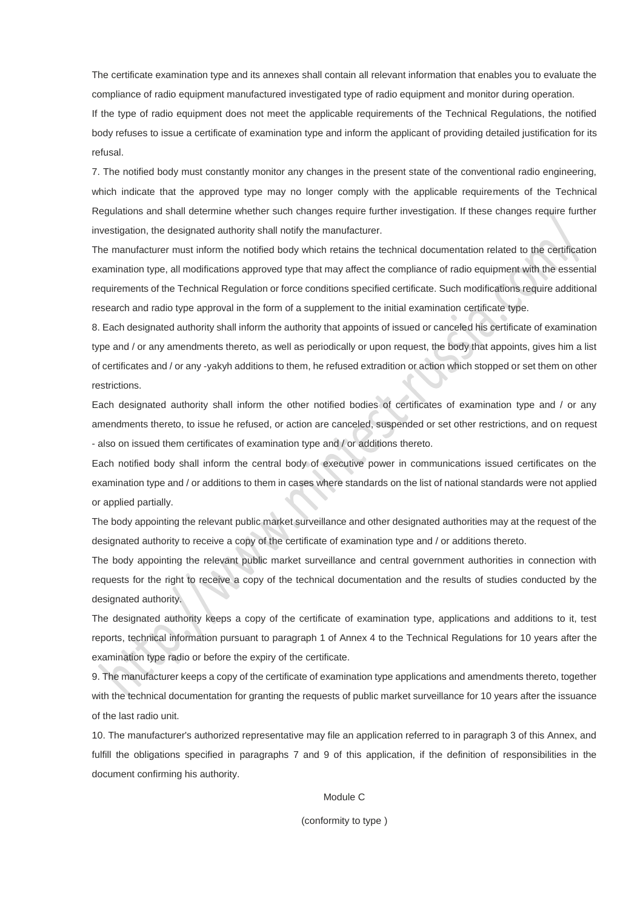The certificate examination type and its annexes shall contain all relevant information that enables you to evaluate the compliance of radio equipment manufactured investigated type of radio equipment and monitor during operation.

If the type of radio equipment does not meet the applicable requirements of the Technical Regulations, the notified body refuses to issue a certificate of examination type and inform the applicant of providing detailed justification for its refusal.

7. The notified body must constantly monitor any changes in the present state of the conventional radio engineering, which indicate that the approved type may no longer comply with the applicable requirements of the Technical Regulations and shall determine whether such changes require further investigation. If these changes require further investigation, the designated authority shall notify the manufacturer.

The manufacturer must inform the notified body which retains the technical documentation related to the certification examination type, all modifications approved type that may affect the compliance of radio equipment with the essential requirements of the Technical Regulation or force conditions specified certificate. Such modifications require additional research and radio type approval in the form of a supplement to the initial examination certificate type.

8. Each designated authority shall inform the authority that appoints of issued or canceled his certificate of examination type and / or any amendments thereto, as well as periodically or upon request, the body that appoints, gives him a list of certificates and / or any -yakyh additions to them, he refused extradition or action which stopped or set them on other restrictions.

Each designated authority shall inform the other notified bodies of certificates of examination type and / or any amendments thereto, to issue he refused, or action are canceled, suspended or set other restrictions, and on request - also on issued them certificates of examination type and / or additions thereto.

Each notified body shall inform the central body of executive power in communications issued certificates on the examination type and / or additions to them in cases where standards on the list of national standards were not applied or applied partially.

The body appointing the relevant public market surveillance and other designated authorities may at the request of the designated authority to receive a copy of the certificate of examination type and / or additions thereto.

The body appointing the relevant public market surveillance and central government authorities in connection with requests for the right to receive a copy of the technical documentation and the results of studies conducted by the designated authority.

The designated authority keeps a copy of the certificate of examination type, applications and additions to it, test reports, technical information pursuant to paragraph 1 of Annex 4 to the Technical Regulations for 10 years after the examination type radio or before the expiry of the certificate.

9. The manufacturer keeps a copy of the certificate of examination type applications and amendments thereto, together with the technical documentation for granting the requests of public market surveillance for 10 years after the issuance of the last radio unit.

10. The manufacturer's authorized representative may file an application referred to in paragraph 3 of this Annex, and fulfill the obligations specified in paragraphs 7 and 9 of this application, if the definition of responsibilities in the document confirming his authority.

## Module C

#### (conformity to type )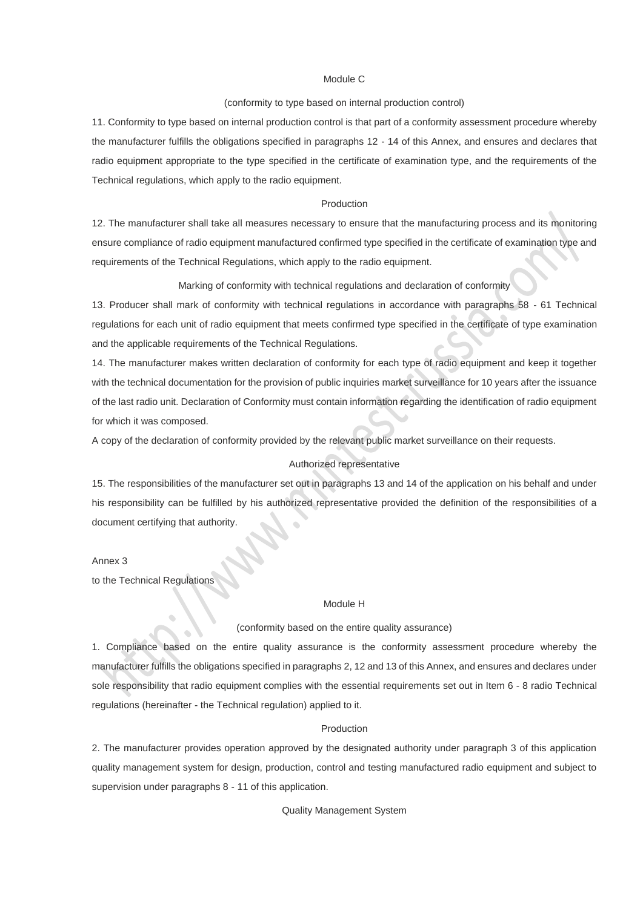## Module C

#### (conformity to type based on internal production control)

11. Conformity to type based on internal production control is that part of a conformity assessment procedure whereby the manufacturer fulfills the obligations specified in paragraphs 12 - 14 of this Annex, and ensures and declares that radio equipment appropriate to the type specified in the certificate of examination type, and the requirements of the Technical regulations, which apply to the radio equipment.

### Production

12. The manufacturer shall take all measures necessary to ensure that the manufacturing process and its monitoring ensure compliance of radio equipment manufactured confirmed type specified in the certificate of examination type and requirements of the Technical Regulations, which apply to the radio equipment.

Marking of conformity with technical regulations and declaration of conformity

13. Producer shall mark of conformity with technical regulations in accordance with paragraphs 58 - 61 Technical regulations for each unit of radio equipment that meets confirmed type specified in the certificate of type examination and the applicable requirements of the Technical Regulations.

14. The manufacturer makes written declaration of conformity for each type of radio equipment and keep it together with the technical documentation for the provision of public inquiries market surveillance for 10 years after the issuance of the last radio unit. Declaration of Conformity must contain information regarding the identification of radio equipment for which it was composed.

A copy of the declaration of conformity provided by the relevant public market surveillance on their requests.

### Authorized representative

15. The responsibilities of the manufacturer set out in paragraphs 13 and 14 of the application on his behalf and under his responsibility can be fulfilled by his authorized representative provided the definition of the responsibilities of a document certifying that authority.

## Annex 3

to the Technical Regulations

### Module H

#### (conformity based on the entire quality assurance)

1. Compliance based on the entire quality assurance is the conformity assessment procedure whereby the manufacturer fulfills the obligations specified in paragraphs 2, 12 and 13 of this Annex, and ensures and declares under sole responsibility that radio equipment complies with the essential requirements set out in Item 6 - 8 radio Technical regulations (hereinafter - the Technical regulation) applied to it.

#### Production

2. The manufacturer provides operation approved by the designated authority under paragraph 3 of this application quality management system for design, production, control and testing manufactured radio equipment and subject to supervision under paragraphs 8 - 11 of this application.

Quality Management System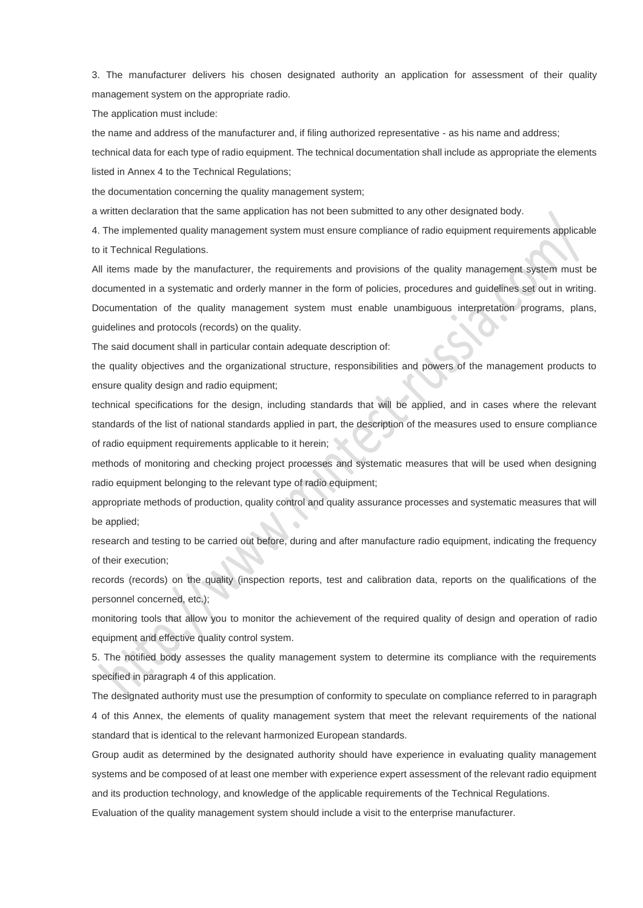3. The manufacturer delivers his chosen designated authority an application for assessment of their quality management system on the appropriate radio.

The application must include:

the name and address of the manufacturer and, if filing authorized representative - as his name and address;

technical data for each type of radio equipment. The technical documentation shall include as appropriate the elements listed in Annex 4 to the Technical Regulations;

the documentation concerning the quality management system;

a written declaration that the same application has not been submitted to any other designated body.

4. The implemented quality management system must ensure compliance of radio equipment requirements applicable to it Technical Regulations.

All items made by the manufacturer, the requirements and provisions of the quality management system must be documented in a systematic and orderly manner in the form of policies, procedures and guidelines set out in writing. Documentation of the quality management system must enable unambiguous interpretation programs, plans, guidelines and protocols (records) on the quality.

The said document shall in particular contain adequate description of:

the quality objectives and the organizational structure, responsibilities and powers of the management products to ensure quality design and radio equipment;

technical specifications for the design, including standards that will be applied, and in cases where the relevant standards of the list of national standards applied in part, the description of the measures used to ensure compliance of radio equipment requirements applicable to it herein;

methods of monitoring and checking project processes and systematic measures that will be used when designing radio equipment belonging to the relevant type of radio equipment;

appropriate methods of production, quality control and quality assurance processes and systematic measures that will be applied;

research and testing to be carried out before, during and after manufacture radio equipment, indicating the frequency of their execution;

records (records) on the quality (inspection reports, test and calibration data, reports on the qualifications of the personnel concerned, etc.);

monitoring tools that allow you to monitor the achievement of the required quality of design and operation of radio equipment and effective quality control system.

5. The notified body assesses the quality management system to determine its compliance with the requirements specified in paragraph 4 of this application.

The designated authority must use the presumption of conformity to speculate on compliance referred to in paragraph 4 of this Annex, the elements of quality management system that meet the relevant requirements of the national standard that is identical to the relevant harmonized European standards.

Group audit as determined by the designated authority should have experience in evaluating quality management systems and be composed of at least one member with experience expert assessment of the relevant radio equipment and its production technology, and knowledge of the applicable requirements of the Technical Regulations.

Evaluation of the quality management system should include a visit to the enterprise manufacturer.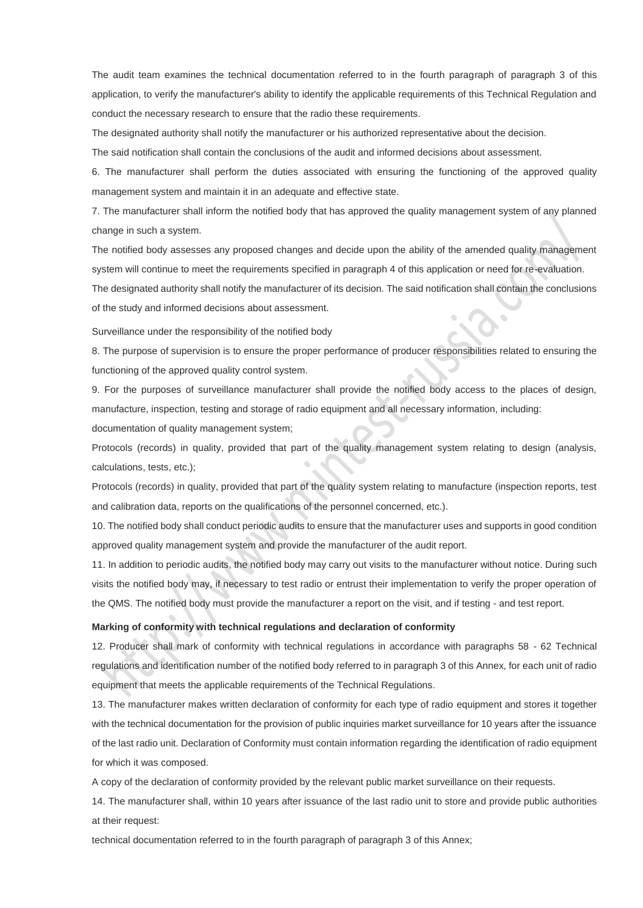The audit team examines the technical documentation referred to in the fourth paragraph of paragraph 3 of this application, to verify the manufacturer's ability to identify the applicable requirements of this Technical Regulation and conduct the necessary research to ensure that the radio these requirements.

The designated authority shall notify the manufacturer or his authorized representative about the decision.

The said notification shall contain the conclusions of the audit and informed decisions about assessment.

6. The manufacturer shall perform the duties associated with ensuring the functioning of the approved quality management system and maintain it in an adequate and effective state.

7. The manufacturer shall inform the notified body that has approved the quality management system of any planned change in such a system.

The notified body assesses any proposed changes and decide upon the ability of the amended quality management system will continue to meet the requirements specified in paragraph 4 of this application or need for re-evaluation.

The designated authority shall notify the manufacturer of its decision. The said notification shall contain the conclusions of the study and informed decisions about assessment.

Surveillance under the responsibility of the notified body

8. The purpose of supervision is to ensure the proper performance of producer responsibilities related to ensuring the functioning of the approved quality control system.

9. For the purposes of surveillance manufacturer shall provide the notified body access to the places of design, manufacture, inspection, testing and storage of radio equipment and all necessary information, including:

documentation of quality management system;

Protocols (records) in quality, provided that part of the quality management system relating to design (analysis, calculations, tests, etc.);

Protocols (records) in quality, provided that part of the quality system relating to manufacture (inspection reports, test and calibration data, reports on the qualifications of the personnel concerned, etc.).

10. The notified body shall conduct periodic audits to ensure that the manufacturer uses and supports in good condition approved quality management system and provide the manufacturer of the audit report.

11. In addition to periodic audits, the notified body may carry out visits to the manufacturer without notice. During such visits the notified body may, if necessary to test radio or entrust their implementation to verify the proper operation of the QMS. The notified body must provide the manufacturer a report on the visit, and if testing - and test report.

#### **Marking of conformity with technical regulations and declaration of conformity**

12. Producer shall mark of conformity with technical regulations in accordance with paragraphs 58 - 62 Technical regulations and identification number of the notified body referred to in paragraph 3 of this Annex, for each unit of radio equipment that meets the applicable requirements of the Technical Regulations.

13. The manufacturer makes written declaration of conformity for each type of radio equipment and stores it together with the technical documentation for the provision of public inquiries market surveillance for 10 years after the issuance of the last radio unit. Declaration of Conformity must contain information regarding the identification of radio equipment for which it was composed.

A copy of the declaration of conformity provided by the relevant public market surveillance on their requests.

14. The manufacturer shall, within 10 years after issuance of the last radio unit to store and provide public authorities at their request:

technical documentation referred to in the fourth paragraph of paragraph 3 of this Annex;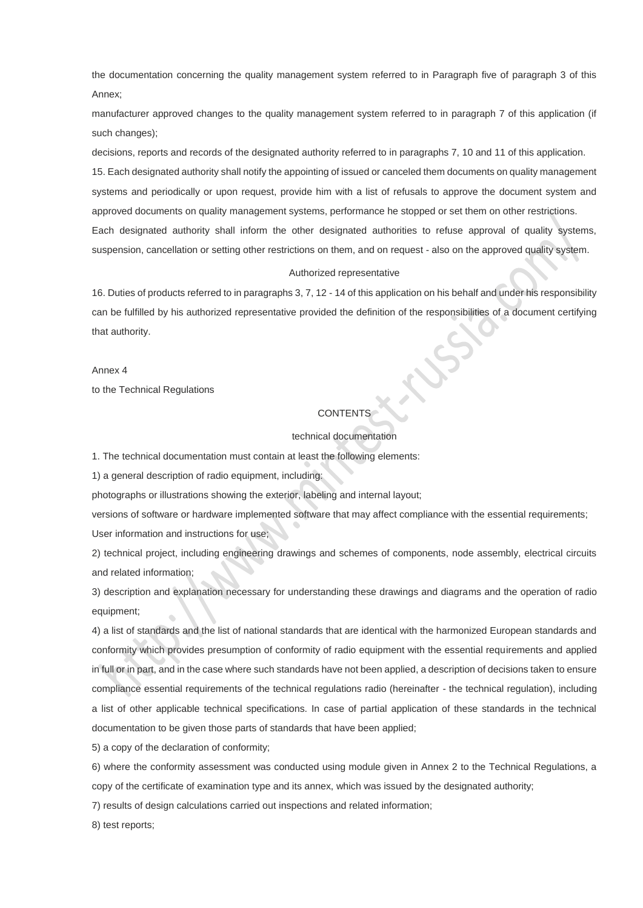the documentation concerning the quality management system referred to in Paragraph five of paragraph 3 of this Annex;

manufacturer approved changes to the quality management system referred to in paragraph 7 of this application (if such changes);

decisions, reports and records of the designated authority referred to in paragraphs 7, 10 and 11 of this application.

15. Each designated authority shall notify the appointing of issued or canceled them documents on quality management systems and periodically or upon request, provide him with a list of refusals to approve the document system and approved documents on quality management systems, performance he stopped or set them on other restrictions. Each designated authority shall inform the other designated authorities to refuse approval of quality systems, suspension, cancellation or setting other restrictions on them, and on request - also on the approved quality system.

#### Authorized representative

16. Duties of products referred to in paragraphs 3, 7, 12 - 14 of this application on his behalf and under his responsibility can be fulfilled by his authorized representative provided the definition of the responsibilities of a document certifying that authority.

Annex 4 to the Technical Regulations

### **CONTENTS**

#### technical documentation

1. The technical documentation must contain at least the following elements:

1) a general description of radio equipment, including:

photographs or illustrations showing the exterior, labeling and internal layout;

versions of software or hardware implemented software that may affect compliance with the essential requirements; User information and instructions for use;

2) technical project, including engineering drawings and schemes of components, node assembly, electrical circuits and related information;

3) description and explanation necessary for understanding these drawings and diagrams and the operation of radio equipment;

4) a list of standards and the list of national standards that are identical with the harmonized European standards and conformity which provides presumption of conformity of radio equipment with the essential requirements and applied in full or in part, and in the case where such standards have not been applied, a description of decisions taken to ensure compliance essential requirements of the technical regulations radio (hereinafter - the technical regulation), including a list of other applicable technical specifications. In case of partial application of these standards in the technical documentation to be given those parts of standards that have been applied;

5) a copy of the declaration of conformity;

6) where the conformity assessment was conducted using module given in Annex 2 to the Technical Regulations, a copy of the certificate of examination type and its annex, which was issued by the designated authority;

7) results of design calculations carried out inspections and related information;

8) test reports;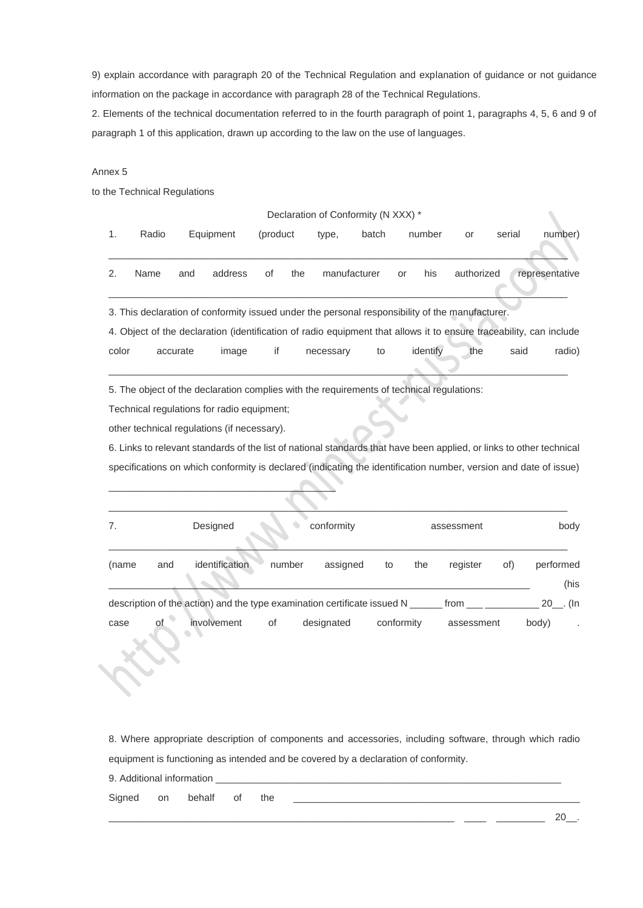9) explain accordance with paragraph 20 of the Technical Regulation and explanation of guidance or not guidance information on the package in accordance with paragraph 28 of the Technical Regulations.

2. Elements of the technical documentation referred to in the fourth paragraph of point 1, paragraphs 4, 5, 6 and 9 of paragraph 1 of this application, drawn up according to the law on the use of languages.

## Annex 5

to the Technical Regulations

| Declaration of Conformity (N XXX) * |       |          |                                                                                                                                                                                                                                                                                                                                       |          |            |              |       |            |            |        |                |                      |
|-------------------------------------|-------|----------|---------------------------------------------------------------------------------------------------------------------------------------------------------------------------------------------------------------------------------------------------------------------------------------------------------------------------------------|----------|------------|--------------|-------|------------|------------|--------|----------------|----------------------|
| 1.                                  | Radio |          | Equipment                                                                                                                                                                                                                                                                                                                             | (product | type,      |              | batch | number     | or         | serial |                | number)              |
| 2.                                  | Name  | and      | address                                                                                                                                                                                                                                                                                                                               | of       | the        | manufacturer |       | his<br>or  | authorized |        | representative |                      |
|                                     |       |          | 3. This declaration of conformity issued under the personal responsibility of the manufacturer.<br>4. Object of the declaration (identification of radio equipment that allows it to ensure traceability, can include                                                                                                                 |          |            |              |       |            |            |        |                |                      |
| color                               |       | accurate | image                                                                                                                                                                                                                                                                                                                                 | if       | necessary  |              | to    | identify   | the        |        | said           | radio)               |
|                                     |       |          | Technical regulations for radio equipment;<br>other technical regulations (if necessary).<br>6. Links to relevant standards of the list of national standards that have been applied, or links to other technical<br>specifications on which conformity is declared (indicating the identification number, version and date of issue) |          |            |              |       |            |            |        |                |                      |
| 7.                                  |       |          | Designed                                                                                                                                                                                                                                                                                                                              |          |            | conformity   |       |            | assessment |        |                | body                 |
| (name                               | and   |          | identification                                                                                                                                                                                                                                                                                                                        | number   |            | assigned     | to    | the        | register   | of)    |                | performed<br>(his    |
|                                     |       |          | description of the action) and the type examination certificate issued N ______ from ______________                                                                                                                                                                                                                                   |          |            |              |       |            |            |        |                | $20$ <sub></sub> (In |
| case                                | of    |          | involvement                                                                                                                                                                                                                                                                                                                           | of       | designated |              |       | conformity | assessment |        | body)          |                      |

8. Where appropriate description of components and accessories, including software, through which radio equipment is functioning as intended and be covered by a declaration of conformity.

9. Additional information

Signed on behalf of the \_\_\_\_\_\_\_\_\_\_\_\_\_\_\_\_\_\_\_\_\_\_\_\_\_\_\_\_\_\_\_\_\_\_\_\_\_\_\_\_\_\_\_\_\_\_\_\_\_\_\_\_\_

\_\_\_\_\_\_\_\_\_\_\_\_\_\_\_\_\_\_\_\_\_\_\_\_\_\_\_\_\_\_\_\_\_\_\_\_\_\_\_\_\_\_\_\_\_\_\_\_\_\_\_\_\_\_\_\_\_\_\_\_\_\_\_\_ \_\_\_\_ \_\_\_\_\_\_\_\_\_ 20\_\_.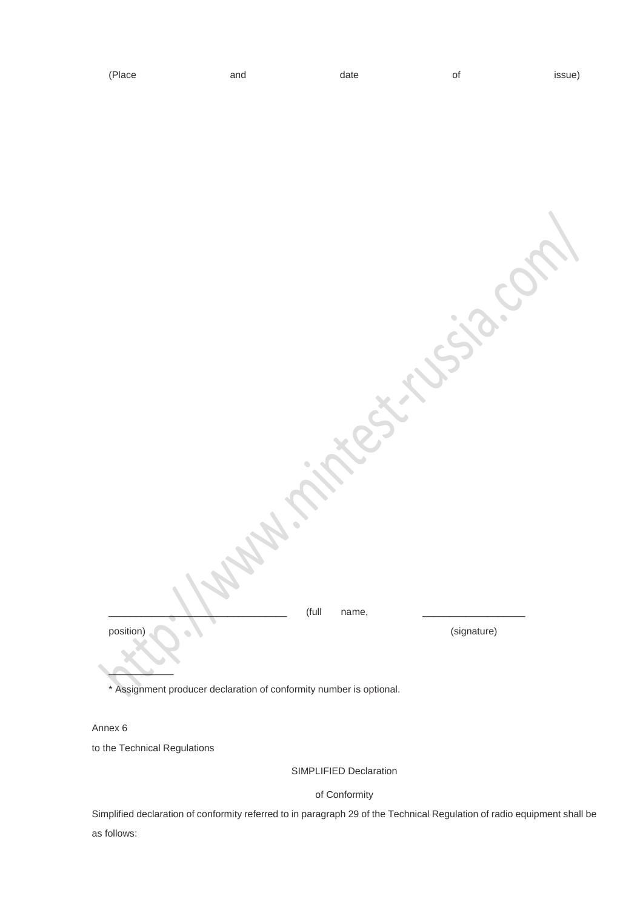

\* Assignment producer declaration of conformity number is optional.

Annex 6

to the Technical Regulations

SIMPLIFIED Declaration

of Conformity

Simplified declaration of conformity referred to in paragraph 29 of the Technical Regulation of radio equipment shall be as follows: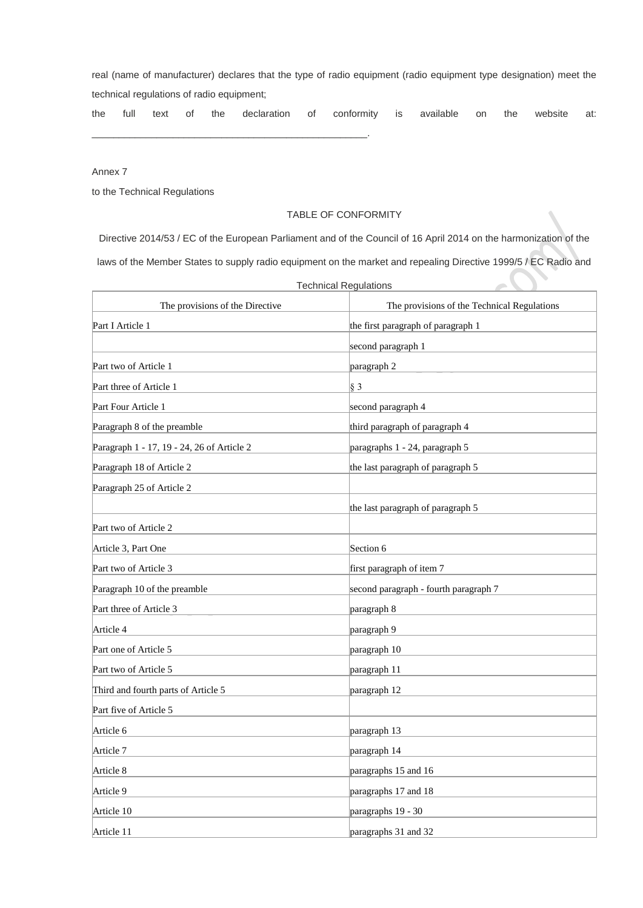real (name of manufacturer) declares that the type of radio equipment (radio equipment type designation) meet the technical regulations of radio equipment;

the full text of the declaration of conformity is available on the website at:

Annex 7

to the Technical Regulations

\_\_\_\_\_\_\_\_\_\_\_\_\_\_\_\_\_\_\_\_\_\_\_\_\_\_\_\_\_\_\_\_\_\_\_\_\_\_\_\_\_\_\_\_\_\_\_\_\_\_\_.

## TABLE OF CONFORMITY

Directive 2014/53 / EC of the European Parliament and of the Council of 16 April 2014 on the harmonization of the laws of the Member States to supply radio equipment on the market and repealing Directive 1999/5 / EC Radio and

| The provisions of the Directive            | The provisions of the Technical Regulations |
|--------------------------------------------|---------------------------------------------|
| Part I Article 1                           | the first paragraph of paragraph 1          |
|                                            | second paragraph 1                          |
| Part two of Article 1                      | paragraph 2                                 |
| Part three of Article 1                    | $\vert \S 3$                                |
| Part Four Article 1                        | second paragraph 4                          |
| Paragraph 8 of the preamble                | third paragraph of paragraph 4              |
| Paragraph 1 - 17, 19 - 24, 26 of Article 2 | paragraphs 1 - 24, paragraph 5              |
| Paragraph 18 of Article 2                  | the last paragraph of paragraph 5           |
| Paragraph 25 of Article 2                  |                                             |
|                                            | the last paragraph of paragraph 5           |
| Part two of Article 2                      |                                             |
| Article 3, Part One                        | Section 6                                   |
| Part two of Article 3                      | first paragraph of item 7                   |
| Paragraph 10 of the preamble               | second paragraph - fourth paragraph 7       |
| Part three of Article 3                    | paragraph 8                                 |
| Article 4                                  | paragraph 9                                 |
| Part one of Article 5                      | paragraph 10                                |
| Part two of Article 5                      | paragraph 11                                |
| Third and fourth parts of Article 5        | paragraph 12                                |
| Part five of Article 5                     |                                             |
| Article 6                                  | paragraph 13                                |
| Article 7                                  | paragraph 14                                |
| Article 8                                  | paragraphs 15 and 16                        |
| Article 9                                  | paragraphs 17 and 18                        |
| Article 10                                 | paragraphs 19 - 30                          |
| Article 11                                 | paragraphs 31 and 32                        |

Technical Regulations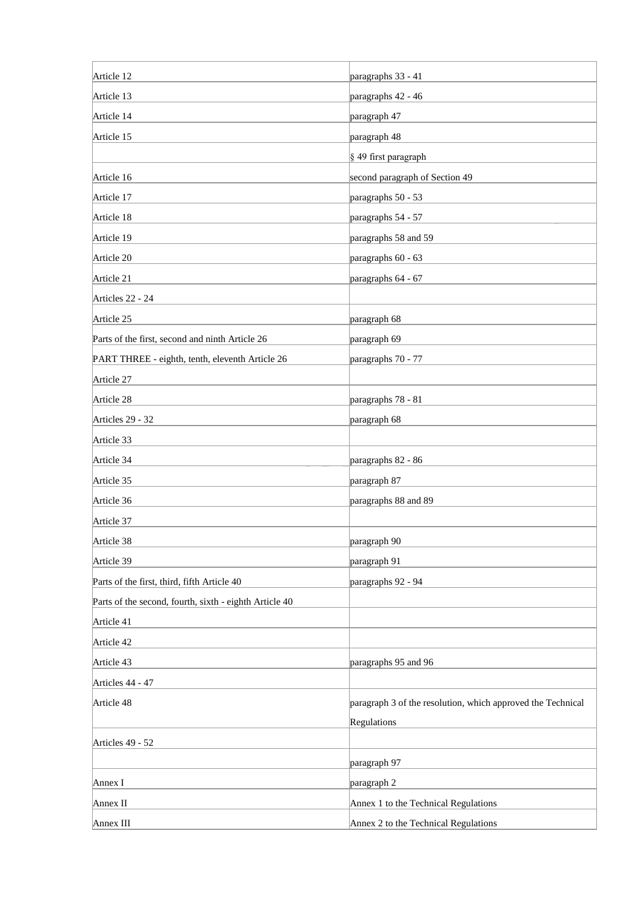| Article 12                                             | paragraphs 33 - 41                                          |
|--------------------------------------------------------|-------------------------------------------------------------|
| Article 13                                             | paragraphs 42 - 46                                          |
| Article 14                                             | paragraph 47                                                |
| Article 15                                             | paragraph 48                                                |
|                                                        | § 49 first paragraph                                        |
| Article 16                                             | second paragraph of Section 49                              |
| Article 17                                             | paragraphs 50 - 53                                          |
| Article 18                                             | paragraphs 54 - 57                                          |
| Article 19                                             | paragraphs 58 and 59                                        |
| Article 20                                             | paragraphs 60 - 63                                          |
| Article 21                                             | paragraphs 64 - 67                                          |
| Articles 22 - 24                                       |                                                             |
| Article 25                                             | paragraph 68                                                |
| Parts of the first, second and ninth Article 26        | paragraph 69                                                |
| PART THREE - eighth, tenth, eleventh Article 26        | paragraphs 70 - 77                                          |
| Article 27                                             |                                                             |
| Article 28                                             | paragraphs 78 - 81                                          |
| Articles 29 - 32                                       | paragraph 68                                                |
| Article 33                                             |                                                             |
| Article 34                                             | paragraphs 82 - 86                                          |
| Article 35                                             | paragraph 87                                                |
| Article 36                                             | paragraphs 88 and 89                                        |
| Article 37                                             |                                                             |
| Article 38                                             | paragraph 90                                                |
| Article 39                                             | paragraph 91                                                |
| Parts of the first, third, fifth Article 40            | paragraphs 92 - 94                                          |
| Parts of the second, fourth, sixth - eighth Article 40 |                                                             |
| Article 41                                             |                                                             |
| Article 42                                             |                                                             |
| Article 43                                             | paragraphs 95 and 96                                        |
| Articles 44 - 47                                       |                                                             |
| Article 48                                             | paragraph 3 of the resolution, which approved the Technical |
|                                                        | Regulations                                                 |
| Articles 49 - 52                                       |                                                             |
|                                                        | paragraph 97                                                |
| Annex I                                                | paragraph 2                                                 |
| Annex II                                               | Annex 1 to the Technical Regulations                        |
| Annex III                                              | Annex 2 to the Technical Regulations                        |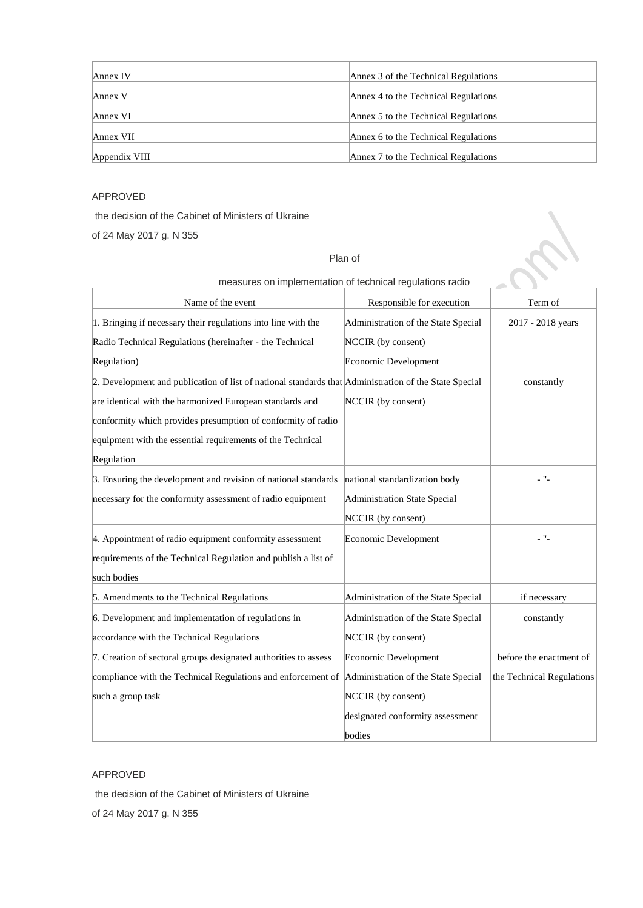| Annex IV      | Annex 3 of the Technical Regulations |
|---------------|--------------------------------------|
| Annex V       | Annex 4 to the Technical Regulations |
| Annex VI      | Annex 5 to the Technical Regulations |
| Annex VII     | Annex 6 to the Technical Regulations |
| Appendix VIII | Annex 7 to the Technical Regulations |

# APPROVED

the decision of the Cabinet of Ministers of Ukraine

of 24 May 2017 g. N 355

## Plan of

|                                                                                                       | measures on implementation or technical regulations radio |                           |
|-------------------------------------------------------------------------------------------------------|-----------------------------------------------------------|---------------------------|
| Name of the event                                                                                     | Responsible for execution                                 | Term of                   |
| 1. Bringing if necessary their regulations into line with the                                         | Administration of the State Special                       | 2017 - 2018 years         |
| Radio Technical Regulations (hereinafter - the Technical                                              | NCCIR (by consent)                                        |                           |
| Regulation)                                                                                           | Economic Development                                      |                           |
| 2. Development and publication of list of national standards that Administration of the State Special |                                                           | constantly                |
| are identical with the harmonized European standards and                                              | NCCIR (by consent)                                        |                           |
| conformity which provides presumption of conformity of radio                                          |                                                           |                           |
| equipment with the essential requirements of the Technical                                            |                                                           |                           |
| Regulation                                                                                            |                                                           |                           |
| 3. Ensuring the development and revision of national standards                                        | national standardization body                             | - "-                      |
| necessary for the conformity assessment of radio equipment                                            | Administration State Special                              |                           |
|                                                                                                       | NCCIR (by consent)                                        |                           |
| 4. Appointment of radio equipment conformity assessment                                               | Economic Development                                      | - "-                      |
| requirements of the Technical Regulation and publish a list of                                        |                                                           |                           |
| such bodies                                                                                           |                                                           |                           |
| 5. Amendments to the Technical Regulations                                                            | Administration of the State Special                       | if necessary              |
| 6. Development and implementation of regulations in                                                   | Administration of the State Special                       | constantly                |
| accordance with the Technical Regulations                                                             | NCCIR (by consent)                                        |                           |
| 7. Creation of sectoral groups designated authorities to assess                                       | Economic Development                                      | before the enactment of   |
| compliance with the Technical Regulations and enforcement of                                          | Administration of the State Special                       | the Technical Regulations |
| such a group task                                                                                     | NCCIR (by consent)                                        |                           |
|                                                                                                       | designated conformity assessment                          |                           |
|                                                                                                       | bodies                                                    |                           |

# measures on implementation of technical regulations radio

## APPROVED

the decision of the Cabinet of Ministers of Ukraine of 24 May 2017 g. N 355